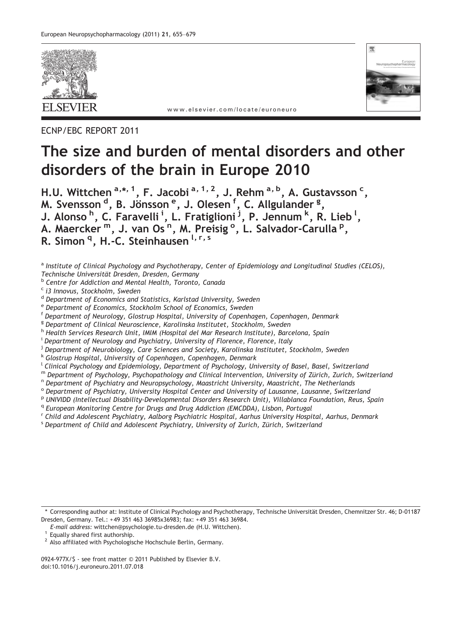

霽

www.elsevier.com/locate/euroneuro

ECNP/EBC REPORT 2011

# The size and burden of mental disorders and other disorders of the brain in Europe 2010

H.U. Wittchen <sup>a,\*, 1</sup>, F. Jacobi <sup>a, 1, 2</sup>, J. Rehm <sup>a, b</sup>, A. Gustavsson <sup>c</sup>, M. Svensson <sup>d</sup>, B. Jönsson <sup>e</sup>, J. Olesen <sup>f</sup>, C. Allgulander <sup>g</sup>, J. Alonso <sup>h</sup>, C. Faravelli <sup>i</sup>, L. Fratiglioni <sup>j</sup>, P. Jennum <sup>k</sup>, R. Lieb <sup>I</sup>, A. Maercker <sup>m</sup>, J. van Os<sup>'n</sup>, M. Preisig <sup>o</sup>, L. Salvador-Carulla <sup>p</sup>, R. Simon <sup>q</sup>, H.-C. Steinhausen <sup>I, r, s</sup>

- a Institute of Clinical Psychology and Psychotherapy, Center of Epidemiology and Longitudinal Studies (CELOS), Technische Universität Dresden, Dresden, Germany
- **b** Centre for Addiction and Mental Health, Toronto, Canada
- <sup>c</sup> i3 Innovus, Stockholm, Sweden
- <sup>d</sup> Department of Economics and Statistics, Karlstad University, Sweden
- <sup>e</sup> Department of Economics, Stockholm School of Economics, Sweden
- <sup>f</sup> Department of Neurology, Glostrup Hospital, University of Copenhagen, Copenhagen, Denmark
- <sup>g</sup> Department of Clinical Neuroscience, Karolinska Institutet, Stockholm, Sweden
- h Health Services Research Unit, IMIM (Hospital del Mar Research Institute), Barcelona, Spain
- <sup>i</sup> Department of Neurology and Psychiatry, University of Florence, Florence, Italy
- <sup>j</sup> Department of Neurobiology, Care Sciences and Society, Karolinska Institutet, Stockholm, Sweden
- <sup>k</sup> Glostrup Hospital, University of Copenhagen, Copenhagen, Denmark
- <sup>l</sup> Clinical Psychology and Epidemiology, Department of Psychology, University of Basel, Basel, Switzerland
- m Department of Psychology, Psychopathology and Clinical Intervention, University of Zürich, Zurich, Switzerland<br>n Department of Psychiatry and Neuropsychology, Maastricht University, Maastricht, The Netherlands
- 
- <sup>o</sup> Department of Psychiatry, University Hospital Center and University of Lausanne, Lausanne, Switzerland
- <sup>p</sup> UNIVIDD (Intellectual Disability-Developmental Disorders Research Unit), Villablanca Foundation, Reus, Spain
- <sup>q</sup> European Monitoring Centre for Drugs and Drug Addiction (EMCDDA), Lisbon, Portugal
- <sup>r</sup> Child and Adolescent Psychiatry, Aalborg Psychiatric Hospital, Aarhus University Hospital, Aarhus, Denmark
- <sup>s</sup> Department of Child and Adolescent Psychiatry, University of Zurich, Zürich, Switzerland

0924-977X/\$ - see front matter © 2011 Published by Elsevier B.V. doi:10.1016/j.euroneuro.2011.07.018

<sup>⁎</sup> Corresponding author at: Institute of Clinical Psychology and Psychotherapy, Technische Universität Dresden, Chemnitzer Str. 46; D-01187 Dresden, Germany. Tel.: +49 351 463 36985x36983; fax: +49 351 463 36984.

<sup>&</sup>lt;sup>1</sup> Equally shared first authorship.<br><sup>2</sup> Also affiliated with Psychologische Hochschule Berlin, Germany.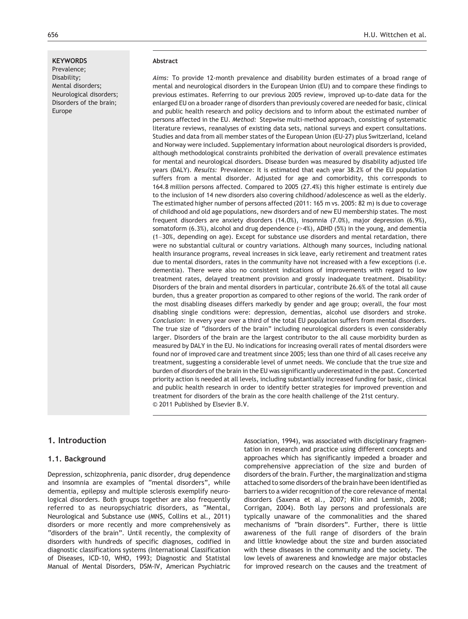## **KEYWORDS**

Prevalence; Disability; Mental disorders; Neurological disorders; Disorders of the brain; Europe

#### Abstract

Aims: To provide 12-month prevalence and disability burden estimates of a broad range of mental and neurological disorders in the European Union (EU) and to compare these findings to previous estimates. Referring to our previous 2005 review, improved up-to-date data for the enlarged EU on a broader range of disorders than previously covered are needed for basic, clinical and public health research and policy decisions and to inform about the estimated number of persons affected in the EU. Method: Stepwise multi-method approach, consisting of systematic literature reviews, reanalyses of existing data sets, national surveys and expert consultations. Studies and data from all member states of the European Union (EU-27) plus Switzerland, Iceland and Norway were included. Supplementary information about neurological disorders is provided, although methodological constraints prohibited the derivation of overall prevalence estimates for mental and neurological disorders. Disease burden was measured by disability adjusted life years (DALY). Results: Prevalence: It is estimated that each year 38.2% of the EU population suffers from a mental disorder. Adjusted for age and comorbidity, this corresponds to 164.8 million persons affected. Compared to 2005 (27.4%) this higher estimate is entirely due to the inclusion of 14 new disorders also covering childhood/adolescence as well as the elderly. The estimated higher number of persons affected (2011: 165 m vs. 2005: 82 m) is due to coverage of childhood and old age populations, new disorders and of new EU membership states. The most frequent disorders are anxiety disorders (14.0%), insomnia (7.0%), major depression (6.9%), somatoform  $(6.3%)$ , alcohol and drug dependence  $(>4%)$ , ADHD (5%) in the young, and dementia (1–30%, depending on age). Except for substance use disorders and mental retardation, there were no substantial cultural or country variations. Although many sources, including national health insurance programs, reveal increases in sick leave, early retirement and treatment rates due to mental disorders, rates in the community have not increased with a few exceptions (i.e. dementia). There were also no consistent indications of improvements with regard to low treatment rates, delayed treatment provision and grossly inadequate treatment. Disability: Disorders of the brain and mental disorders in particular, contribute 26.6% of the total all cause burden, thus a greater proportion as compared to other regions of the world. The rank order of the most disabling diseases differs markedly by gender and age group; overall, the four most disabling single conditions were: depression, dementias, alcohol use disorders and stroke. Conclusion: In every year over a third of the total EU population suffers from mental disorders. The true size of "disorders of the brain" including neurological disorders is even considerably larger. Disorders of the brain are the largest contributor to the all cause morbidity burden as measured by DALY in the EU. No indications for increasing overall rates of mental disorders were found nor of improved care and treatment since 2005; less than one third of all cases receive any treatment, suggesting a considerable level of unmet needs. We conclude that the true size and burden of disorders of the brain in the EU was significantly underestimated in the past. Concerted priority action is needed at all levels, including substantially increased funding for basic, clinical and public health research in order to identify better strategies for improved prevention and treatment for disorders of the brain as the core health challenge of the 21st century. © 2011 Published by Elsevier B.V.

## 1. Introduction

## 1.1. Background

Depression, schizophrenia, panic disorder, drug dependence and insomnia are examples of "mental disorders", while dementia, epilepsy and multiple sclerosis exemplify neurological disorders. Both groups together are also frequently referred to as neuropsychiatric disorders, as "Mental, Neurological and Substance use (MNS, Collins et al., 2011) disorders or more recently and more comprehensively as "disorders of the brain". Until recently, the complexity of disorders with hundreds of specific diagnoses, codified in diagnostic classifications systems (International Classification of Diseases, ICD-10, WHO, 1993; Diagnostic and Statistal Manual of Mental Disorders, DSM-IV, American Psychiatric Association, 1994), was associated with disciplinary fragmentation in research and practice using different concepts and approaches which has significantly impeded a broader and comprehensive appreciation of the size and burden of disorders of the brain. Further, the marginalization and stigma attached to some disorders of the brain have been identified as barriers to a wider recognition of the core relevance of mental disorders (Saxena et al., 2007; Klin and Lemish, 2008; Corrigan, 2004). Both lay persons and professionals are typically unaware of the commonalities and the shared mechanisms of "brain disorders". Further, there is little awareness of the full range of disorders of the brain and little knowledge about the size and burden associated with these diseases in the community and the society. The low levels of awareness and knowledge are major obstacles for improved research on the causes and the treatment of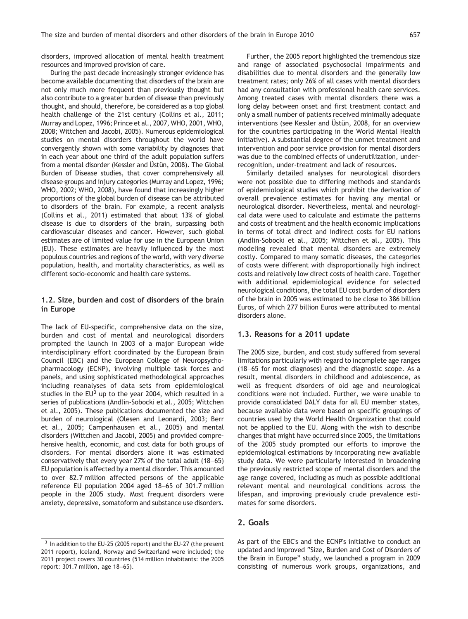disorders, improved allocation of mental health treatment resources and improved provision of care.

During the past decade increasingly stronger evidence has become available documenting that disorders of the brain are not only much more frequent than previously thought but also contribute to a greater burden of disease than previously thought, and should, therefore, be considered as a top global health challenge of the 21st century (Collins et al., 2011; Murray and Lopez, 1996; Prince et al., 2007, WHO, 2001, WHO, 2008; Wittchen and Jacobi, 2005). Numerous epidemiological studies on mental disorders throughout the world have convergently shown with some variability by diagnoses that in each year about one third of the adult population suffers from a mental disorder (Kessler and Üstün, 2008). The Global Burden of Disease studies, that cover comprehensively all disease groups and injury categories (Murray and Lopez, 1996; WHO, 2002; WHO, 2008), have found that increasingly higher proportions of the global burden of disease can be attributed to disorders of the brain. For example, a recent analysis (Collins et al., 2011) estimated that about 13% of global disease is due to disorders of the brain, surpassing both cardiovascular diseases and cancer. However, such global estimates are of limited value for use in the European Union (EU). These estimates are heavily influenced by the most populous countries and regions of the world, with very diverse population, health, and mortality characteristics, as well as different socio-economic and health care systems.

## 1.2. Size, burden and cost of disorders of the brain in Europe

The lack of EU-specific, comprehensive data on the size, burden and cost of mental and neurological disorders prompted the launch in 2003 of a major European wide interdisciplinary effort coordinated by the European Brain Council (EBC) and the European College of Neuropsychopharmacology (ECNP), involving multiple task forces and panels, and using sophisticated methodological approaches including reanalyses of data sets from epidemiological studies in the  $EU^3$  up to the year 2004, which resulted in a series of publications (Andlin-Sobocki et al., 2005; Wittchen et al., 2005). These publications documented the size and burden of neurological (Olesen and Leonardi, 2003; Berr et al., 2005; Campenhausen et al., 2005) and mental disorders (Wittchen and Jacobi, 2005) and provided comprehensive health, economic, and cost data for both groups of disorders. For mental disorders alone it was estimated conservatively that every year 27% of the total adult (18–65) EU population is affected by a mental disorder. This amounted to over 82.7 million affected persons of the applicable reference EU population 2004 aged 18–65 of 301.7 million people in the 2005 study. Most frequent disorders were anxiety, depressive, somatoform and substance use disorders.

 $3$  In addition to the EU-25 (2005 report) and the EU-27 (the present 2011 report), Iceland, Norway and Switzerland were included; the 2011 project covers 30 countries (514 million inhabitants: the 2005 report: 301.7 million, age 18–65).

Further, the 2005 report highlighted the tremendous size and range of associated psychosocial impairments and disabilities due to mental disorders and the generally low treatment rates; only 26% of all cases with mental disorders had any consultation with professional health care services. Among treated cases with mental disorders there was a long delay between onset and first treatment contact and only a small number of patients received minimally adequate interventions (see Kessler and Üstün, 2008, for an overview for the countries participating in the World Mental Health initiative). A substantial degree of the unmet treatment and intervention and poor service provision for mental disorders was due to the combined effects of underutilization, underrecognition, under-treatment and lack of resources.

Similarly detailed analyses for neurological disorders were not possible due to differing methods and standards of epidemiological studies which prohibit the derivation of overall prevalence estimates for having any mental or neurological disorder. Nevertheless, mental and neurological data were used to calculate and estimate the patterns and costs of treatment and the health economic implications in terms of total direct and indirect costs for EU nations (Andlin-Sobocki et al., 2005; Wittchen et al., 2005). This modeling revealed that mental disorders are extremely costly. Compared to many somatic diseases, the categories of costs were different with disproportionally high indirect costs and relatively low direct costs of health care. Together with additional epidemiological evidence for selected neurological conditions, the total EU cost burden of disorders of the brain in 2005 was estimated to be close to 386 billion Euros, of which 277 billion Euros were attributed to mental disorders alone.

## 1.3. Reasons for a 2011 update

The 2005 size, burden, and cost study suffered from several limitations particularly with regard to incomplete age ranges (18–65 for most diagnoses) and the diagnostic scope. As a result, mental disorders in childhood and adolescence, as well as frequent disorders of old age and neurological conditions were not included. Further, we were unable to provide consolidated DALY data for all EU member states, because available data were based on specific groupings of countries used by the World Health Organization that could not be applied to the EU. Along with the wish to describe changes that might have occurred since 2005, the limitations of the 2005 study prompted our efforts to improve the epidemiological estimations by incorporating new available study data. We were particularly interested in broadening the previously restricted scope of mental disorders and the age range covered, including as much as possible additional relevant mental and neurological conditions across the lifespan, and improving previously crude prevalence estimates for some disorders.

## 2. Goals

As part of the EBC's and the ECNP's initiative to conduct an updated and improved "Size, Burden and Cost of Disorders of the Brain in Europe" study, we launched a program in 2009 consisting of numerous work groups, organizations, and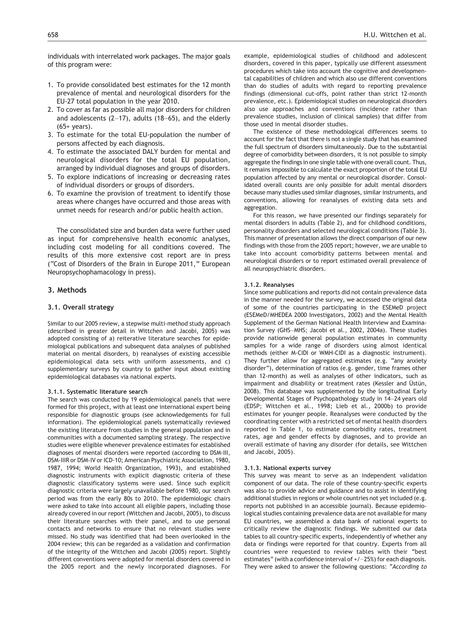individuals with interrelated work packages. The major goals of this program were:

- 1. To provide consolidated best estimates for the 12 month prevalence of mental and neurological disorders for the EU-27 total population in the year 2010.
- 2. To cover as far as possible all major disorders for children and adolescents  $(2-17)$ , adults  $(18-65)$ , and the elderly (65+ years).
- 3. To estimate for the total EU-population the number of persons affected by each diagnosis.
- 4. To estimate the associated DALY burden for mental and neurological disorders for the total EU population, arranged by individual diagnoses and groups of disorders.
- 5. To explore indications of increasing or decreasing rates of individual disorders or groups of disorders.
- 6. To examine the provision of treatment to identify those areas where changes have occurred and those areas with unmet needs for research and/or public health action.

The consolidated size and burden data were further used as input for comprehensive health economic analyses, including cost modeling for all conditions covered. The results of this more extensive cost report are in press ("Cost of Disorders of the Brain in Europe 2011," European Neuropsychophamacology in press).

## 3. Methods

#### 3.1. Overall strategy

Similar to our 2005 review, a stepwise multi-method study approach (described in greater detail in Wittchen and Jacobi, 2005) was adopted consisting of a) reiterative literature searches for epidemiological publications and subsequent data analyses of published material on mental disorders, b) reanalyses of existing accessible epidemiological data sets with uniform assessments, and c) supplementary surveys by country to gather input about existing epidemiological databases via national experts.

#### 3.1.1. Systematic literature search

The search was conducted by 19 epidemiological panels that were formed for this project, with at least one international expert being responsible for diagnostic groups (see acknowledgements for full information). The epidemiological panels systematically reviewed the existing literature from studies in the general population and in communities with a documented sampling strategy. The respective studies were eligible whenever prevalence estimates for established diagnoses of mental disorders were reported (according to DSM-III, DSM-IIIR or DSM-IV or ICD-10; American Psychiatric Association, 1980, 1987, 1994; World Health Organization, 1993), and established diagnostic instruments with explicit diagnostic criteria of these diagnostic classificatory systems were used. Since such explicit diagnostic criteria were largely unavailable before 1980, our search period was from the early 80s to 2010. The epidemiologic chairs were asked to take into account all eligible papers, including those already covered in our report (Wittchen and Jacobi, 2005), to discuss their literature searches with their panel, and to use personal contacts and networks to ensure that no relevant studies were missed. No study was identified that had been overlooked in the 2004 review; this can be regarded as a validation and confirmation of the integrity of the Wittchen and Jacobi (2005) report. Slightly different conventions were adopted for mental disorders covered in the 2005 report and the newly incorporated diagnoses. For

example, epidemiological studies of childhood and adolescent disorders, covered in this paper, typically use different assessment procedures which take into account the cognitive and developmental capabilities of children and which also use different conventions than do studies of adults with regard to reporting prevalence findings (dimensional cut-offs, point rather than strict 12-month prevalence, etc.). Epidemiological studies on neurological disorders also use approaches and conventions (incidence rather than prevalence studies, inclusion of clinical samples) that differ from those used in mental disorder studies.

The existence of these methodological differences seems to account for the fact that there is not a single study that has examined the full spectrum of disorders simultaneously. Due to the substantial degree of comorbidity between disorders, it is not possible to simply aggregate the findings in one single table with one overall count. Thus, it remains impossible to calculate the exact proportion of the total EU population affected by any mental or neurological disorder. Consolidated overall counts are only possible for adult mental disorders because many studies used similar diagnoses, similar instruments, and conventions, allowing for reanalyses of existing data sets and aggregation.

For this reason, we have presented our findings separately for mental disorders in adults (Table 2), and for childhood conditions, personality disorders and selected neurological conditions (Table 3). This manner of presentation allows the direct comparison of our new findings with those from the 2005 report; however, we are unable to take into account comorbidity patterns between mental and neurological disorders or to report estimated overall prevalence of all neuropsychiatric disorders.

#### 3.1.2. Reanalyses

Since some publications and reports did not contain prevalence data in the manner needed for the survey, we accessed the original data of some of the countries participating in the ESEMeD project (ESEMeD/MHEDEA 2000 Investigators, 2002) and the Mental Health Supplement of the German National Health Interview and Examination Survey (GHS–MHS; Jacobi et al., 2002, 2004a). These studies provide nationwide general population estimates in community samples for a wide range of disorders using almost identical methods (either M-CIDI or WMH-CIDI as a diagnostic instrument). They further allow for aggregated estimates (e.g. "any anxiety disorder"), determination of ratios (e.g. gender, time frames other than 12-month) as well as analyses of other indicators, such as impairment and disability or treatment rates (Kessler and Üstün, 2008). This database was supplemented by the longitudinal Early Developmental Stages of Psychopathology study in 14–24 years old (EDSP; Wittchen et al., 1998; Lieb et al., 2000b) to provide estimates for younger people. Reanalyses were conducted by the coordinating center with a restricted set of mental health disorders reported in Table 1, to estimate comorbidity rates, treatment rates, age and gender effects by diagnoses, and to provide an overall estimate of having any disorder (for details, see Wittchen and Jacobi, 2005).

#### 3.1.3. National experts survey

This survey was meant to serve as an independent validation component of our data. The role of these country-specific experts was also to provide advice and guidance and to assist in identifying additional studies in regions or whole countries not yet included (e.g. reports not published in an accessible journal). Because epidemiological studies containing prevalence data are not available for many EU countries, we assembled a data bank of national experts to critically review the diagnostic findings. We submitted our data tables to all country-specific experts, independently of whether any data or findings were reported for that country. Experts from all countries were requested to review tables with their "best estimates" (with a confidence interval of +/−25%) for each diagnosis. They were asked to answer the following questions: "According to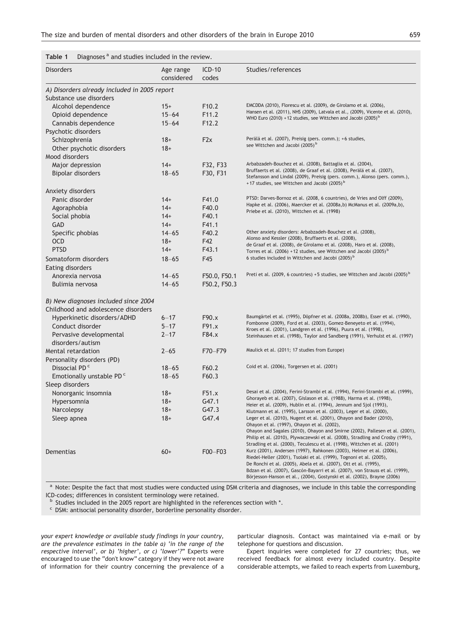| Diagnoses <sup>a</sup> and studies included in the review.<br>Table 1 |                         |                   |                                                                                                                                                                                                                                                                                                                                                                                                                                                         |
|-----------------------------------------------------------------------|-------------------------|-------------------|---------------------------------------------------------------------------------------------------------------------------------------------------------------------------------------------------------------------------------------------------------------------------------------------------------------------------------------------------------------------------------------------------------------------------------------------------------|
| <b>Disorders</b>                                                      | Age range<br>considered | $ICD-10$<br>codes | Studies/references                                                                                                                                                                                                                                                                                                                                                                                                                                      |
| A) Disorders already included in 2005 report                          |                         |                   |                                                                                                                                                                                                                                                                                                                                                                                                                                                         |
| Substance use disorders                                               |                         |                   |                                                                                                                                                                                                                                                                                                                                                                                                                                                         |
| Alcohol dependence                                                    | $15+$                   | F <sub>10.2</sub> | EMCDDA (2010), Florescu et al. (2009), de Girolamo et al. (2006),                                                                                                                                                                                                                                                                                                                                                                                       |
| Opioid dependence                                                     | $15 - 64$               | F11.2             | Hansen et al. (2011), NHS (2009), Latvala et al., (2009), Vicente et al. (2010),<br>WHO Euro (2010) +12 studies, see Wittchen and Jacobi (2005) <sup>b</sup>                                                                                                                                                                                                                                                                                            |
| Cannabis dependence                                                   | $15 - 64$               | F12.2             |                                                                                                                                                                                                                                                                                                                                                                                                                                                         |
| Psychotic disorders                                                   |                         |                   |                                                                                                                                                                                                                                                                                                                                                                                                                                                         |
| Schizophrenia                                                         | $18+$                   | F <sub>2</sub> x  | Perälä et al. (2007), Preisig (pers. comm.); +6 studies,<br>see Wittchen and Jacobi (2005) <sup>b</sup>                                                                                                                                                                                                                                                                                                                                                 |
| Other psychotic disorders                                             | $18+$                   |                   |                                                                                                                                                                                                                                                                                                                                                                                                                                                         |
| Mood disorders                                                        |                         |                   |                                                                                                                                                                                                                                                                                                                                                                                                                                                         |
| Major depression                                                      | $14+$                   | F32, F33          | Arbabzadeh-Bouchez et al. (2008), Battaglia et al. (2004),<br>Bruffaerts et al. (2008), de Graaf et al. (2008), Perälä et al. (2007),                                                                                                                                                                                                                                                                                                                   |
| <b>Bipolar disorders</b>                                              | $18 - 65$               | F30, F31          | Stefansson and Lindal (2009), Preisig (pers. comm.), Alonso (pers. comm.),<br>+17 studies, see Wittchen and Jacobi (2005) <sup>b</sup>                                                                                                                                                                                                                                                                                                                  |
| Anxiety disorders                                                     |                         |                   |                                                                                                                                                                                                                                                                                                                                                                                                                                                         |
| Panic disorder                                                        | $14+$                   | F41.0             | PTSD: Darves-Bornoz et al. (2008, 6 countries), de Vries and Olff (2009),                                                                                                                                                                                                                                                                                                                                                                               |
| Agoraphobia                                                           | $14+$                   | F40.0             | Hapke et al. (2006), Maercker et al. (2008a,b) McManus et al. (2009a,b),<br>Priebe et al. (2010), Wittchen et al. (1998)                                                                                                                                                                                                                                                                                                                                |
| Social phobia                                                         | $14+$                   | F40.1             |                                                                                                                                                                                                                                                                                                                                                                                                                                                         |
| <b>GAD</b>                                                            | $14+$                   | F41.1             |                                                                                                                                                                                                                                                                                                                                                                                                                                                         |
| Specific phobias                                                      | $14 - 65$               | F40.2             | Other anxiety disorders: Arbabzadeh-Bouchez et al. (2008),                                                                                                                                                                                                                                                                                                                                                                                              |
| <b>OCD</b>                                                            | $18+$                   | F42               | Alonso and Kessler (2008), Bruffaerts et al. (2008),<br>de Graaf et al. (2008), de Girolamo et al. (2008), Haro et al. (2008),                                                                                                                                                                                                                                                                                                                          |
| <b>PTSD</b>                                                           | $14+$                   | F43.1             | Torres et al. (2006) +12 studies, see Wittchen and Jacobi (2005) <sup>b</sup>                                                                                                                                                                                                                                                                                                                                                                           |
| Somatoform disorders                                                  | $18 - 65$               | F45               | 6 studies included in Wittchen and Jacobi (2005) <sup>b</sup>                                                                                                                                                                                                                                                                                                                                                                                           |
| Eating disorders                                                      |                         |                   |                                                                                                                                                                                                                                                                                                                                                                                                                                                         |
| Anorexia nervosa                                                      | $14 - 65$               | F50.0, F50.1      | Preti et al. (2009, 6 countries) +5 studies, see Wittchen and Jacobi (2005) <sup>b</sup>                                                                                                                                                                                                                                                                                                                                                                |
| Bulimia nervosa                                                       | $14 - 65$               | F50.2, F50.3      |                                                                                                                                                                                                                                                                                                                                                                                                                                                         |
| B) New diagnoses included since 2004                                  |                         |                   |                                                                                                                                                                                                                                                                                                                                                                                                                                                         |
| Childhood and adolescence disorders                                   |                         |                   |                                                                                                                                                                                                                                                                                                                                                                                                                                                         |
| Hyperkinetic disorders/ADHD                                           | $6 - 17$                | F90.x             | Baumgärtel et al. (1995), Döpfner et al. (2008a, 2008b), Esser et al. (1990),                                                                                                                                                                                                                                                                                                                                                                           |
| Conduct disorder                                                      | $5 - 17$                | F91.x             | Fombonne (2009), Ford et al. (2003), Gomez-Beneyeto et al. (1994),<br>Kroes et al. (2001), Landgren et al. (1996), Puura et al. (1998),                                                                                                                                                                                                                                                                                                                 |
| Pervasive developmental<br>disorders/autism                           | $2 - 17$                | F84.x             | Steinhausen et al. (1998), Taylor and Sandberg (1991), Verhulst et al. (1997)                                                                                                                                                                                                                                                                                                                                                                           |
| Mental retardation                                                    | $2 - 65$                | F70-F79           | Maulick et al. (2011; 17 studies from Europe)                                                                                                                                                                                                                                                                                                                                                                                                           |
| Personality disorders (PD)                                            |                         |                   |                                                                                                                                                                                                                                                                                                                                                                                                                                                         |
| Dissocial PD <sup>c</sup>                                             | $18 - 65$               | F60.2             | Coid et al. (2006), Torgersen et al. (2001)                                                                                                                                                                                                                                                                                                                                                                                                             |
| Emotionally unstable PD <sup>c</sup>                                  | $18 - 65$               | F60.3             |                                                                                                                                                                                                                                                                                                                                                                                                                                                         |
| Sleep disorders                                                       |                         |                   |                                                                                                                                                                                                                                                                                                                                                                                                                                                         |
| Nonorganic insomnia                                                   | $18+$                   | F51.x             | Desai et al. (2004), Ferini-Strambi et al. (1994), Ferini-Strambi et al. (1999),                                                                                                                                                                                                                                                                                                                                                                        |
| Hypersomnia                                                           | $18+$                   | G47.1             | Ghorayeb et al. (2007), Gislason et al. (1988), Harma et al. (1998),<br>Heier et al. (2009), Hublin et al. (1994), Jennum and Sjol (1993),                                                                                                                                                                                                                                                                                                              |
| Narcolepsy                                                            | $18+$                   | G47.3             | Klutmann et al. (1995), Larsson et al. (2003), Leger et al. (2000),                                                                                                                                                                                                                                                                                                                                                                                     |
| Sleep apnea                                                           | $18+$                   | G47.4             | Leger et al. (2010), Nugent et al. (2001), Ohayon and Bader (2010),<br>Ohayon et al. (1997), Ohayon et al. (2002),<br>Ohayon and Sagales (2010), Ohayon and Smirne (2002), Pallesen et al. (2001),<br>Philip et al. (2010), Plywaczewski et al. (2008), Stradling and Crosby (1991),                                                                                                                                                                    |
| Dementias                                                             | $60+$                   | F00-F03           | Stradling et al. (2000), Teculescu et al. (1998), Wittchen et al. (2001)<br>Kurz (2001), Andersen (1997), Rahkonen (2003), Helmer et al. (2006),<br>Riedel-Heller (2001), Tsolaki et al. (1999), Tognoni et al. (2005),<br>De Ronchi et al. (2005), Abela et al. (2007), Ott et al. (1995),<br>Bdzan et al. (2007), Gascón-Bayarri et al. (2007), von Strauss et al. (1999),<br>Börjesson-Hanson et al., (2004), Gostynski et al. (2002), Brayne (2006) |

<sup>a</sup> Note: Despite the fact that most studies were conducted using DSM criteria and diagnoses, we include in this table the corresponding ICD-codes; differences in consistent terminology were retained.

 $\overline{b}$  Studies included in the 2005 report are highlighted in the references section with  $\overline{\ }$ .<br>C DSM: antisocial personality disorder, borderline personality disorder.

your expert knowledge or available study findings in your country, are the prevalence estimates in the table a) 'in the range of the respective interval', or b) 'higher', or c) 'lower'?" Experts were encouraged to use the "don't know" category if they were not aware of information for their country concerning the prevalence of a particular diagnosis. Contact was maintained via e-mail or by telephone for questions and discussion.

Expert inquiries were completed for 27 countries; thus, we received feedback for almost every included country. Despite considerable attempts, we failed to reach experts from Luxemburg,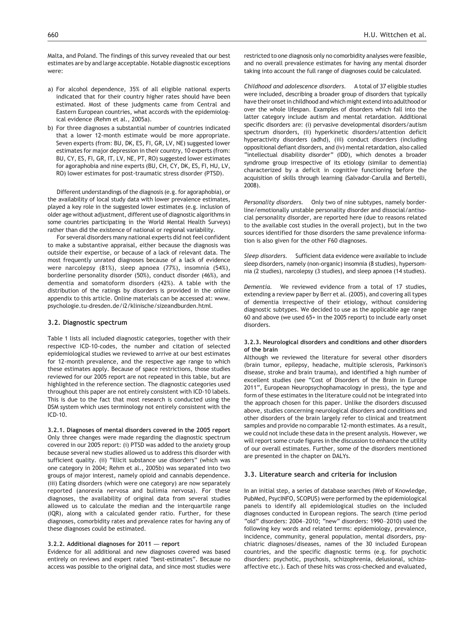Malta, and Poland. The findings of this survey revealed that our best estimates are by and large acceptable. Notable diagnostic exceptions were:

- a) For alcohol dependence, 35% of all eligible national experts indicated that for their country higher rates should have been estimated. Most of these judgments came from Central and Eastern European countries, what accords with the epidemiological evidence (Rehm et al., 2005a).
- b) For three diagnoses a substantial number of countries indicated that a lower 12-month estimate would be more appropriate. Seven experts (from: BU, DK, ES, FI, GR, LV, NE) suggested lower estimates for major depression in their country, 10 experts (from: BU, CY, ES, FI, GR, IT, LV, NE, PT, RO) suggested lower estimates for agoraphobia and nine experts (BU, CH, CY, DK, ES, FI, HU, LV, RO) lower estimates for post-traumatic stress disorder (PTSD).

Different understandings of the diagnosis (e.g. for agoraphobia), or the availability of local study data with lower prevalence estimates, played a key role in the suggested lower estimates (e.g. inclusion of older age without adjustment, different use of diagnostic algorithms in some countries participating in the World Mental Health Surveys) rather than did the existence of national or regional variability.

For several disorders many national experts did not feel confident to make a substantive appraisal, either because the diagnosis was outside their expertise, or because of a lack of relevant data. The most frequently unrated diagnoses because of a lack of evidence were narcolepsy (81%), sleep apnoea (77%), insomnia (54%), borderline personality disorder (50%), conduct disorder (46%), and dementia and somatoform disorders (42%). A table with the distribution of the ratings by disorders is provided in the online appendix to this article. Online materials can be accessed at: www. psychologie.tu-dresden.de/i2/klinische/sizeandburden.html.

#### 3.2. Diagnostic spectrum

Table 1 lists all included diagnostic categories, together with their respective ICD-10-codes, the number and citation of selected epidemiological studies we reviewed to arrive at our best estimates for 12-month prevalence, and the respective age range to which these estimates apply. Because of space restrictions, those studies reviewed for our 2005 report are not repeated in this table, but are highlighted in the reference section. The diagnostic categories used throughout this paper are not entirely consistent with ICD-10 labels. This is due to the fact that most research is conducted using the DSM system which uses terminology not entirely consistent with the ICD-10.

3.2.1. Diagnoses of mental disorders covered in the 2005 report Only three changes were made regarding the diagnostic spectrum covered in our 2005 report: (i) PTSD was added to the anxiety group because several new studies allowed us to address this disorder with sufficient quality. (ii) "Illicit substance use disorders" (which was one category in 2004; Rehm et al., 2005b) was separated into two groups of major interest, namely opioid and cannabis dependence. (iii) Eating disorders (which were one category) are now separately reported (anorexia nervosa and bulimia nervosa). For these diagnoses, the availability of original data from several studies allowed us to calculate the median and the interquartile range (IQR), along with a calculated gender ratio. Further, for these diagnoses, comorbidity rates and prevalence rates for having any of these diagnoses could be estimated.

#### 3.2.2. Additional diagnoses for 2011 — report

Evidence for all additional and new diagnoses covered was based entirely on reviews and expert rated "best-estimates". Because no access was possible to the original data, and since most studies were

restricted to one diagnosis only no comorbidity analyses were feasible, and no overall prevalence estimates for having any mental disorder taking into account the full range of diagnoses could be calculated.

Childhood and adolescence disorders. A total of 37 eligible studies were included, describing a broader group of disorders that typically have their onset in childhood and which might extend into adulthood or over the whole lifespan. Examples of disorders which fall into the latter category include autism and mental retardation. Additional specific disorders are: (i) pervasive developmental disorders/autism spectrum disorders, (ii) hyperkinetic disorders/attention deficit hyperactivity disorders (adhd), (iii) conduct disorders (including oppositional defiant disorders, and (iv) mental retardation, also called "intellectual disability disorder" (IDD), which denotes a broader syndrome group irrespective of its etiology (similar to dementia) characterized by a deficit in cognitive functioning before the acquisition of skills through learning (Salvador-Carulla and Bertelli, 2008).

Personality disorders. Only two of nine subtypes, namely borderline/emotionally unstable personality disorder and dissocial/antisocial personality disorder, are reported here (due to reasons related to the available cost studies in the overall project), but in the two sources identified for those disorders the same prevalence information is also given for the other F60 diagnoses.

Sleep disorders. Sufficient data evidence were available to include sleep disorders, namely (non-organic) insomnia (8 studies), hypersomnia (2 studies), narcolepsy (3 studies), and sleep apnoea (14 studies).

Dementia. We reviewed evidence from a total of 17 studies, extending a review paper by Berr et al. (2005), and covering all types of dementia irrespective of their etiology, without considering diagnostic subtypes. We decided to use as the applicable age range 60 and above (we used 65+ in the 2005 report) to include early onset disorders.

#### 3.2.3. Neurological disorders and conditions and other disorders of the brain

Although we reviewed the literature for several other disorders (brain tumor, epilepsy, headache, multiple sclerosis, Parkinson's disease, stroke and brain trauma), and identified a high number of excellent studies (see "Cost of Disorders of the Brain in Europe 2011", European Neuropsychophamacology in press), the type and form of these estimates in the literature could not be integrated into the approach chosen for this paper. Unlike the disorders discussed above, studies concerning neurological disorders and conditions and other disorders of the brain largely refer to clinical and treatment samples and provide no comparable 12-month estimates. As a result, we could not include these data in the present analysis. However, we will report some crude figures in the discussion to enhance the utility of our overall estimates. Further, some of the disorders mentioned are presented in the chapter on DALYs.

#### 3.3. Literature search and criteria for inclusion

In an initial step, a series of database searches (Web of Knowledge, PubMed, PsycINFO, SCOPUS) were performed by the epidemiological panels to identify all epidemiological studies on the included diagnoses conducted in European regions. The search (time period "old" disorders: 2004–2010; "new" disorders: 1990–2010) used the following key words and related terms: epidemiology, prevalence, incidence, community, general population, mental disorders, psychiatric diagnoses/diseases, names of the 30 included European countries, and the specific diagnostic terms (e.g. for psychotic disorders: psychotic, psychosis, schizophrenia, delusional, schizoaffective etc.). Each of these hits was cross-checked and evaluated,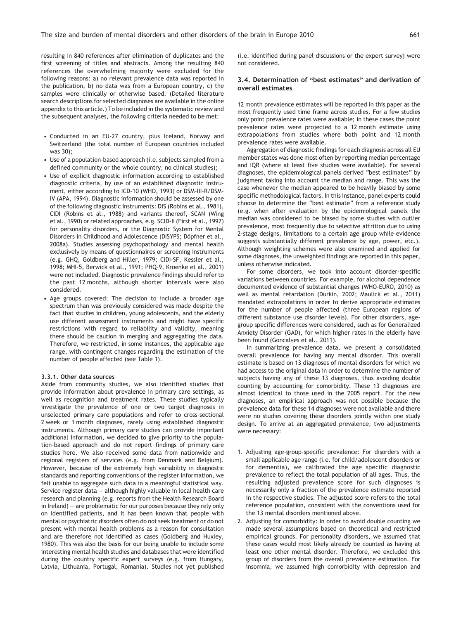resulting in 840 references after elimination of duplicates and the first screening of titles and abstracts. Among the resulting 840 references the overwhelming majority were excluded for the following reasons: a) no relevant prevalence data was reported in the publication, b) no data was from a European country, c) the samples were clinically or otherwise based. (Detailed literature search descriptions for selected diagnoses are available in the online appendix to this article.) To be included in the systematic review and the subsequent analyses, the following criteria needed to be met:

- Conducted in an EU-27 country, plus Iceland, Norway and Switzerland (the total number of European countries included was 30);
- Use of a population-based approach (i.e. subjects sampled from a defined community or the whole country, no clinical studies);
- Use of explicit diagnostic information according to established diagnostic criteria, by use of an established diagnostic instrument, either according to ICD-10 (WHO, 1993) or DSM-III-R/DSM-IV (APA, 1994). Diagnostic information should be assessed by one of the following diagnostic instruments: DIS (Robins et al., 1981), CIDI (Robins et al., 1988) and variants thereof, SCAN (Wing et al., 1990) or related approaches, e.g. SCID-II (First et al., 1997) for personality disorders, or the Diagnostic System for Mental Disorders in Childhood and Adolescence (DISYPS; Döpfner et al., 2008a). Studies assessing psychopathology and mental health exclusively by means of questionnaires or screening instruments (e.g. GHQ, Goldberg and Hiller, 1979; CIDI-SF, Kessler et al., 1998; MHI-5, Berwick et al., 1991; PHQ-9, Kroenke et al., 2001) were not included. Diagnostic prevalence findings should refer to the past 12 months, although shorter intervals were also considered.
- Age groups covered: The decision to include a broader age spectrum than was previously considered was made despite the fact that studies in children, young adolescents, and the elderly use different assessment instruments and might have specific restrictions with regard to reliability and validity, meaning there should be caution in merging and aggregating the data. Therefore, we restricted, in some instances, the applicable age range, with contingent changes regarding the estimation of the number of people affected (see Table 1).

#### 3.3.1. Other data sources

Aside from community studies, we also identified studies that provide information about prevalence in primary care settings, as well as recognition and treatment rates. These studies typically investigate the prevalence of one or two target diagnoses in unselected primary care populations and refer to cross-sectional 2 week or 1 month diagnoses, rarely using established diagnostic instruments. Although primary care studies can provide important additional information, we decided to give priority to the population-based approach and do not report findings of primary care studies here. We also received some data from nationwide and regional registers of services (e.g. from Denmark and Belgium). However, because of the extremely high variability in diagnostic standards and reporting conventions of the register information, we felt unable to aggregate such data in a meaningful statistical way. Service register data — although highly valuable in local health care research and planning (e.g. reports from the Health Research Board in Ireland) — are problematic for our purposes because they rely only on identified patients, and it has been known that people with mental or psychiatric disorders often do not seek treatment or do not present with mental health problems as a reason for consultation and are therefore not identified as cases (Goldberg and Huxley, 1980). This was also the basis for our being unable to include some interesting mental health studies and databases that were identified during the country specific expert surveys (e.g. from Hungary, Latvia, Lithuania, Portugal, Romania). Studies not yet published

(i.e. identified during panel discussions or the expert survey) were not considered.

#### 3.4. Determination of "best estimates" and derivation of overall estimates

12 month prevalence estimates will be reported in this paper as the most frequently used time frame across studies. For a few studies only point prevalence rates were available; in these cases the point prevalence rates were projected to a 12 month estimate using extrapolations from studies where both point and 12 month prevalence rates were available.

Aggregation of diagnostic findings for each diagnosis across all EU member states was done most often by reporting median percentage and IQR (where at least five studies were available). For several diagnoses, the epidemiological panels derived "best estimates" by judgment taking into account the median and range. This was the case whenever the median appeared to be heavily biased by some specific methodological factors. In this instance, panel experts could choose to determine the "best estimate" from a reference study (e.g. when after evaluation by the epidemiological panels the median was considered to be biased by some studies with outlier prevalence, most frequently due to selective attrition due to using 2-stage designs, limitations to a certain age group while evidence suggests substantially different prevalence by age, power, etc.). Although weighting schemes were also examined and applied for some diagnoses, the unweighted findings are reported in this paper, unless otherwise indicated.

For some disorders, we took into account disorder-specific variations between countries. For example, for alcohol dependence documented evidence of substantial changes (WHO-EURO, 2010) as well as mental retardation (Durkin, 2002; Maulick et al., 2011) mandated extrapolations in order to derive appropriate estimates for the number of people affected (three European regions of different substance use disorder levels). For other disorders, agegroup specific differences were considered, such as for Generalized Anxiety Disorder (GAD), for which higher rates in the elderly have been found (Goncalves et al., 2011).

In summarizing prevalence data, we present a consolidated overall prevalence for having any mental disorder. This overall estimate is based on 13 diagnoses of mental disorders for which we had access to the original data in order to determine the number of subjects having any of these 13 diagnoses, thus avoiding double counting by accounting for comorbidity. These 13 diagnoses are almost identical to those used in the 2005 report. For the new diagnoses, an empirical approach was not possible because the prevalence data for these 14 diagnoses were not available and there were no studies covering these disorders jointly within one study design. To arrive at an aggregated prevalence, two adjustments were necessary:

- 1. Adjusting age-group-specific prevalence: For disorders with a small applicable age range (i.e. for child/adolescent disorders or for dementia), we calibrated the age specific diagnostic prevalence to reflect the total population of all ages. Thus, the resulting adjusted prevalence score for such diagnoses is necessarily only a fraction of the prevalence estimate reported in the respective studies. The adjusted score refers to the total reference population, consistent with the conventions used for the 13 mental disorders mentioned above.
- 2. Adjusting for comorbidity: In order to avoid double counting we made several assumptions based on theoretical and restricted empirical grounds. For personality disorders, we assumed that these cases would most likely already be counted as having at least one other mental disorder. Therefore, we excluded this group of disorders from the overall prevalence estimation. For insomnia, we assumed high comorbidity with depression and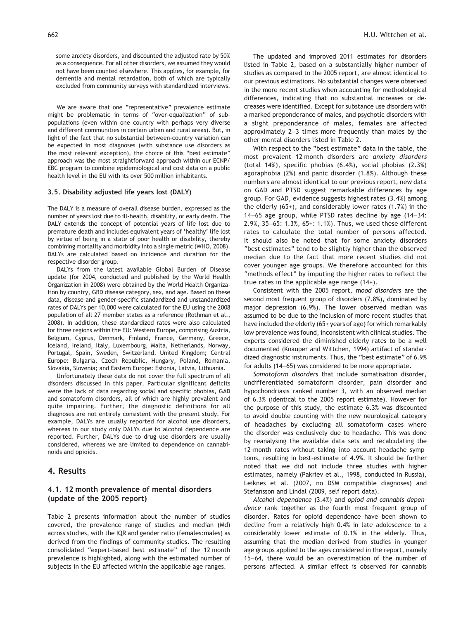some anxiety disorders, and discounted the adjusted rate by 50% as a consequence. For all other disorders, we assumed they would not have been counted elsewhere. This applies, for example, for dementia and mental retardation, both of which are typically excluded from community surveys with standardized interviews.

We are aware that one "representative" prevalence estimate might be problematic in terms of "over-equalization" of subpopulations (even within one country with perhaps very diverse and different communities in certain urban and rural areas). But, in light of the fact that no substantial between-country variation can be expected in most diagnoses (with substance use disorders as the most relevant exception), the choice of this "best estimate" approach was the most straightforward approach within our ECNP/ EBC program to combine epidemiological and cost data on a public health level in the EU with its over 500 million inhabitants.

#### 3.5. Disability adjusted life years lost (DALY)

The DALY is a measure of overall disease burden, expressed as the number of years lost due to ill-health, disability, or early death. The DALY extends the concept of potential years of life lost due to premature death and includes equivalent years of 'healthy' life lost by virtue of being in a state of poor health or disability, thereby combining mortality and morbidity into a single metric (WHO, 2008). DALYs are calculated based on incidence and duration for the respective disorder group.

DALYs from the latest available Global Burden of Disease update (for 2004, conducted and published by the World Health Organization in 2008) were obtained by the World Health Organization by country, GBD disease category, sex, and age. Based on these data, disease and gender-specific standardized and unstandardized rates of DALYs per 10,000 were calculated for the EU using the 2008 population of all 27 member states as a reference (Rothman et al., 2008). In addition, these standardized rates were also calculated for three regions within the EU: Western Europe, comprising Austria, Belgium, Cyprus, Denmark, Finland, France, Germany, Greece, Iceland, Ireland, Italy, Luxembourg, Malta, Netherlands, Norway, Portugal, Spain, Sweden, Switzerland, United Kingdom; Central Europe: Bulgaria, Czech Republic, Hungary, Poland, Romania, Slovakia, Slovenia; and Eastern Europe: Estonia, Latvia, Lithuania.

Unfortunately these data do not cover the full spectrum of all disorders discussed in this paper. Particular significant deficits were the lack of data regarding social and specific phobias, GAD and somatoform disorders, all of which are highly prevalent and quite impairing. Further, the diagnostic definitions for all diagnoses are not entirely consistent with the present study. For example, DALYs are usually reported for alcohol use disorders, whereas in our study only DALYs due to alcohol dependence are reported. Further, DALYs due to drug use disorders are usually considered, whereas we are limited to dependence on cannabinoids and opioids.

## 4. Results

## 4.1. 12 month prevalence of mental disorders (update of the 2005 report)

Table 2 presents information about the number of studies covered, the prevalence range of studies and median (Md) across studies, with the IQR and gender ratio (females:males) as derived from the findings of community studies. The resulting consolidated "expert-based best estimate" of the 12 month prevalence is highlighted, along with the estimated number of subjects in the EU affected within the applicable age ranges.

The updated and improved 2011 estimates for disorders listed in Table 2, based on a substantially higher number of studies as compared to the 2005 report, are almost identical to our previous estimations. No substantial changes were observed in the more recent studies when accounting for methodological differences, indicating that no substantial increases or decreases were identified. Except for substance use disorders with a marked preponderance of males, and psychotic disorders with a slight preponderance of males, females are affected approximately 2–3 times more frequently than males by the other mental disorders listed in Table 2.

With respect to the "best estimate" data in the table, the most prevalent 12 month disorders are anxiety disorders (total 14%), specific phobias (6.4%), social phobias (2.3%) agoraphobia (2%) and panic disorder (1.8%). Although these numbers are almost identical to our previous report, new data on GAD and PTSD suggest remarkable differences by age group. For GAD, evidence suggests highest rates (3.4%) among the elderly (65+), and considerably lower rates (1.7%) in the 14–65 age group, while PTSD rates decline by age (14–34: 2.9%, 35–65: 1.3%, 65+: 1.1%). Thus, we used these different rates to calculate the total number of persons affected. It should also be noted that for some anxiety disorders "best estimates" tend to be slightly higher than the observed median due to the fact that more recent studies did not cover younger age groups. We therefore accounted for this "methods effect" by imputing the higher rates to reflect the true rates in the applicable age range (14+).

Consistent with the 2005 report, mood disorders are the second most frequent group of disorders (7.8%), dominated by major depression (6.9%). The lower observed median was assumed to be due to the inclusion of more recent studies that have included the elderly (65+ years of age) for which remarkably low prevalence was found, inconsistent with clinical studies. The experts considered the diminished elderly rates to be a well documented (Knauper and Wittchen, 1994) artifact of standardized diagnostic instruments. Thus, the "best estimate" of 6.9% for adults (14–65) was considered to be more appropriate.

Somatoform disorders that include somatisation disorder, undifferentiated somatoform disorder, pain disorder and hypochondriasis ranked number 3, with an observed median of 6.3% (identical to the 2005 report estimate). However for the purpose of this study, the estimate 6.3% was discounted to avoid double counting with the new neurological category of headaches by excluding all somatoform cases where the disorder was exclusively due to headache. This was done by reanalysing the available data sets and recalculating the 12-month rates without taking into account headache symptoms, resulting in best-estimate of 4.9%. It should be further noted that we did not include three studies with higher estimates, namely (Pakriev et al., 1998, conducted in Russia), Leiknes et al. (2007, no DSM compatible diagnoses) and Stefansson and Lindal (2009, self report data).

Alcohol dependence (3.4%) and opiod and cannabis dependence rank together as the fourth most frequent group of disorder. Rates for opioid dependence have been shown to decline from a relatively high 0.4% in late adolescence to a considerably lower estimate of 0.1% in the elderly. Thus, assuming that the median derived from studies in younger age groups applied to the ages considered in the report, namely 15–64, there would be an overestimation of the number of persons affected. A similar effect is observed for cannabis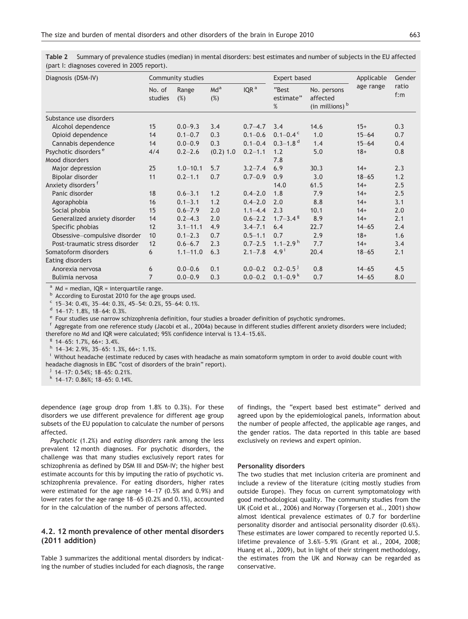Table 2 Summary of prevalence studies (median) in mental disorders: best estimates and number of subjects in the EU affected (part I: diagnoses covered in 2005 report).

| Diagnosis (DSM-IV)               |                   | Community studies |                        |                  | Expert based             |                                              | Applicable | Gender           |
|----------------------------------|-------------------|-------------------|------------------------|------------------|--------------------------|----------------------------------------------|------------|------------------|
|                                  | No. of<br>studies | Range<br>(%)      | Md <sup>a</sup><br>(%) | IQR <sup>a</sup> | "Best<br>estimate"<br>%  | No. persons<br>affected<br>(in millions) $b$ | age range  | ratio<br>$f$ : m |
| Substance use disorders          |                   |                   |                        |                  |                          |                                              |            |                  |
| Alcohol dependence               | 15                | $0.0 - 9.3$       | 3.4                    | $0.7 - 4.7$      | 3.4                      | 14.6                                         | $15+$      | 0.3              |
| Opioid dependence                | 14                | $0.1 - 0.7$       | 0.3                    | $0.1 - 0.6$      | $0.1 - 0.4$ <sup>c</sup> | 1.0                                          | $15 - 64$  | 0.7              |
| Cannabis dependence              | 14                | $0.0 - 0.9$       | 0.3                    | $0.1 - 0.4$      | $0.3 - 1.8$ <sup>d</sup> | 1.4                                          | $15 - 64$  | 0.4              |
| Psychotic disorders <sup>e</sup> | 4/4               | $0.2 - 2.6$       | (0.2) 1.0              | $0.2 - 1.1$      | 1.2                      | 5.0                                          | $18+$      | 0.8              |
| Mood disorders                   |                   |                   |                        |                  | 7.8                      |                                              |            |                  |
| Major depression                 | 25                | $1.0 - 10.1$      | 5.7                    | $3.2 - 7.4$      | 6.9                      | 30.3                                         | $14+$      | 2.3              |
| Bipolar disorder                 | 11                | $0.2 - 1.1$       | 0.7                    | $0.7 - 0.9$      | 0.9                      | 3.0                                          | $18 - 65$  | 1.2              |
| Anxiety disorders <sup>f</sup>   |                   |                   |                        |                  | 14.0                     | 61.5                                         | $14+$      | 2.5              |
| Panic disorder                   | 18                | $0.6 - 3.1$       | 1.2                    | $0.4 - 2.0$      | 1.8                      | 7.9                                          | $14+$      | 2.5              |
| Agoraphobia                      | 16                | $0.1 - 3.1$       | 1.2                    | $0.4 - 2.0$      | 2.0                      | 8.8                                          | $14+$      | 3.1              |
| Social phobia                    | 15                | $0.6 - 7.9$       | 2.0                    | $1.1 - 4.4$      | 2.3                      | 10.1                                         | $14+$      | 2.0              |
| Generalized anxiety disorder     | 14                | $0.2 - 4.3$       | 2.0                    | $0.6 - 2.2$      | $1.7 - 3.4$ <sup>g</sup> | 8.9                                          | $14+$      | 2.1              |
| Specific phobias                 | 12                | $3.1 - 11.1$      | 4.9                    | $3.4 - 7.1$      | 6.4                      | 22.7                                         | $14 - 65$  | 2.4              |
| Obsessive-compulsive disorder    | 10                | $0.1 - 2.3$       | 0.7                    | $0.5 - 1.1$      | 0.7                      | 2.9                                          | $18+$      | 1.6              |
| Post-traumatic stress disorder   | 12                | $0.6 - 6.7$       | 2.3                    | $0.7 - 2.5$      | $1.1 - 2.9$ <sup>h</sup> | 7.7                                          | $14+$      | 3.4              |
| Somatoform disorders             | 6                 | $1.1 - 11.0$      | 6.3                    | $2.1 - 7.8$      | $4.9^{i}$                | 20.4                                         | $18 - 65$  | 2.1              |
| Eating disorders                 |                   |                   |                        |                  |                          |                                              |            |                  |
| Anorexia nervosa                 | 6                 | $0.0 - 0.6$       | 0.1                    | $0.0 - 0.2$      | $0.2 - 0.5$ <sup>j</sup> | 0.8                                          | $14 - 65$  | 4.5              |
| Bulimia nervosa                  | $\overline{7}$    | $0.0 - 0.9$       | 0.3                    | $0.0 - 0.2$      | $0.1 - 0.9k$             | 0.7                                          | $14 - 65$  | 8.0              |

<sup>a</sup> Md = median, IQR = interquartile range.<br><sup>b</sup> According to Eurostat 2010 for the age groups used.<br><sup>c</sup> 15–34: 0.4%, 35–44: 0.3%, 45–54: 0.2%, 55–64: 0.1%.

<sup>d</sup> 14–17: 1.8%, 18–64: 0.3%.<br><sup>e</sup> Four studies use narrow schizophrenia definition, four studies a broader definition of psychotic syndromes.

Aggregate from one reference study (Jacobi et al., 2004a) because in different studies different anxiety disorders were included; therefore no Md and IQR were calculated; 95% confidence interval is 13.4–15.6%.<br><sup>8</sup> 14–65: 1.7%, 66+: 3.4%.<br><sup>h</sup> 14–34: 2.9%, 35–65: 1.3%, 66+: 1.1%.

<sup>i</sup> Without headache (estimate reduced by cases with headache as main somatoform symptom in order to avoid double count with headache diagnosis in EBC "cost of disorders of the brain" report).

 $\frac{1}{1}$  14–17: 0.54%; 18–65: 0.21%.<br>
<sup>k</sup> 14–17: 0.86%; 18–65: 0.14%.

dependence (age group drop from 1.8% to 0.3%). For these disorders we use different prevalence for different age group subsets of the EU population to calculate the number of persons affected.

Psychotic (1.2%) and eating disorders rank among the less prevalent 12 month diagnoses. For psychotic disorders, the challenge was that many studies exclusively report rates for schizophrenia as defined by DSM III and DSM-IV; the higher best estimate accounts for this by imputing the ratio of psychotic vs. schizophrenia prevalence. For eating disorders, higher rates were estimated for the age range 14–17 (0.5% and 0.9%) and lower rates for the age range 18–65 (0.2% and 0.1%), accounted for in the calculation of the number of persons affected.

## 4.2. 12 month prevalence of other mental disorders (2011 addition)

Table 3 summarizes the additional mental disorders by indicating the number of studies included for each diagnosis, the range of findings, the "expert based best estimate" derived and agreed upon by the epidemiological panels, information about the number of people affected, the applicable age ranges, and the gender ratios. The data reported in this table are based exclusively on reviews and expert opinion.

#### Personality disorders

The two studies that met inclusion criteria are prominent and include a review of the literature (citing mostly studies from outside Europe). They focus on current symptomatology with good methodological quality. The community studies from the UK (Coid et al., 2006) and Norway (Torgersen et al., 2001) show almost identical prevalence estimates of 0.7 for borderline personality disorder and antisocial personality disorder (0.6%). These estimates are lower compared to recently reported U.S. lifetime prevalence of 3.6%–5.9% (Grant et al., 2004, 2008; Huang et al., 2009), but in light of their stringent methodology, the estimates from the UK and Norway can be regarded as conservative.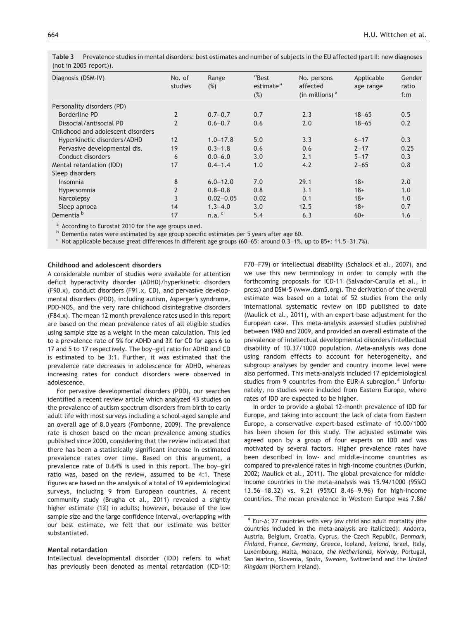| Diagnosis (DSM-IV)                 | No. of<br>studies | Range<br>(%)      | "Best<br>estimate"<br>$(\%)$ | No. persons<br>affected<br>(in millions) $a$ | Applicable<br>age range | Gender<br>ratio<br>f:m |
|------------------------------------|-------------------|-------------------|------------------------------|----------------------------------------------|-------------------------|------------------------|
| Personality disorders (PD)         |                   |                   |                              |                                              |                         |                        |
| Borderline PD                      | 2                 | $0.7 - 0.7$       | 0.7                          | 2.3                                          | $18 - 65$               | 0.5                    |
| Dissocial/antisocial PD            | $\overline{2}$    | $0.6 - 0.7$       | 0.6                          | 2.0                                          | $18 - 65$               | 0.2                    |
| Childhood and adolescent disorders |                   |                   |                              |                                              |                         |                        |
| Hyperkinetic disorders/ADHD        | 12                | $1.0 - 17.8$      | 5.0                          | 3.3                                          | $6 - 17$                | 0.3                    |
| Pervasive developmental dis.       | 19                | $0.3 - 1.8$       | 0.6                          | 0.6                                          | $2 - 17$                | 0.25                   |
| Conduct disorders                  | 6                 | $0.0 - 6.0$       | 3.0                          | 2.1                                          | $5 - 17$                | 0.3                    |
| Mental retardation (IDD)           | 17                | $0.4 - 1.4$       | 1.0                          | 4.2                                          | $2 - 65$                | 0.8                    |
| Sleep disorders                    |                   |                   |                              |                                              |                         |                        |
| Insomnia                           | 8                 | $6.0 - 12.0$      | 7.0                          | 29.1                                         | $18+$                   | 2.0                    |
| Hypersomnia                        | $\overline{2}$    | $0.8 - 0.8$       | 0.8                          | 3.1                                          | $18+$                   | 1.0                    |
| Narcolepsy                         | 3                 | $0.02 - 0.05$     | 0.02                         | 0.1                                          | $18+$                   | 1.0                    |
| Sleep apnoea                       | 14                | $1,3-4,0$         | 3.0                          | 12.5                                         | $18+$                   | 0.7                    |
| Dementia <sup>b</sup>              | 17                | n.a. <sup>c</sup> | 5.4                          | 6.3                                          | $60+$                   | 1.6                    |

Table 3 Prevalence studies in mental disorders: best estimates and number of subjects in the EU affected (part II: new diagnoses (not in 2005 report)).

a According to Eurostat 2010 for the age groups used.

<sup>b</sup> Dementia rates were estimated by age group specific estimates per 5 years after age 60.<br><sup>c</sup> Not applicable because great differences in different age groups (60–65: around 0.3–1%, up to 85+: 11.5–31.7%).

#### Childhood and adolescent disorders

A considerable number of studies were available for attention deficit hyperactivity disorder (ADHD)/hyperkinetic disorders (F90.x), conduct disorders (F91.x, CD), and pervasive developmental disorders (PDD), including autism, Asperger's syndrome, PDD-NOS, and the very rare childhood disintegrative disorders (F84.x). The mean 12 month prevalence rates used in this report are based on the mean prevalence rates of all eligible studies using sample size as a weight in the mean calculation. This led to a prevalence rate of 5% for ADHD and 3% for CD for ages 6 to 17 and 5 to 17 respectively. The boy–girl ratio for ADHD and CD is estimated to be 3:1. Further, it was estimated that the prevalence rate decreases in adolescence for ADHD, whereas increasing rates for conduct disorders were observed in adolescence.

For pervasive developmental disorders (PDD), our searches identified a recent review article which analyzed 43 studies on the prevalence of autism spectrum disorders from birth to early adult life with most surveys including a school-aged sample and an overall age of 8.0 years (Fombonne, 2009). The prevalence rate is chosen based on the mean prevalence among studies published since 2000, considering that the review indicated that there has been a statistically significant increase in estimated prevalence rates over time. Based on this argument, a prevalence rate of 0.64% is used in this report. The boy–girl ratio was, based on the review, assumed to be 4:1. These figures are based on the analysis of a total of 19 epidemiological surveys, including 9 from European countries. A recent community study (Brugha et al., 2011) revealed a slightly higher estimate (1%) in adults; however, because of the low sample size and the large confidence interval, overlapping with our best estimate, we felt that our estimate was better substantiated.

#### Mental retardation

Intellectual developmental disorder (IDD) refers to what has previously been denoted as mental retardation (ICD-10: F70–F79) or intellectual disability (Schalock et al., 2007), and we use this new terminology in order to comply with the forthcoming proposals for ICD-11 (Salvador-Carulla et al., in press) and DSM-5 (www.dsm5.org). The derivation of the overall estimate was based on a total of 52 studies from the only international systematic review on IDD published to date (Maulick et al., 2011), with an expert-base adjustment for the European case. This meta-analysis assessed studies published between 1980 and 2009, and provided an overall estimate of the prevalence of intellectual developmental disorders/intellectual disability of 10.37/1000 population. Meta-analysis was done using random effects to account for heterogeneity, and subgroup analyses by gender and country income level were also performed. This meta-analysis included 17 epidemiological studies from 9 countries from the EUR-A subregion.<sup>4</sup> Unfortunately, no studies were included from Eastern Europe, where rates of IDD are expected to be higher.

In order to provide a global 12-month prevalence of IDD for Europe, and taking into account the lack of data from Eastern Europe, a conservative expert-based estimate of 10.00/1000 has been chosen for this study. The adjusted estimate was agreed upon by a group of four experts on IDD and was motivated by several factors. Higher prevalence rates have been described in low- and middle-income countries as compared to prevalence rates in high-income countries (Durkin, 2002; Maulick et al., 2011). The global prevalence for middleincome countries in the meta-analysis was 15.94/1000 (95%CI 13.56–18.32) vs. 9.21 (95%CI 8.46–9.96) for high-income countries. The mean prevalence in Western Europe was 7.86/

<sup>4</sup> Eur-A: 27 countries with very low child and adult mortality (the countries included in the meta-analysis are italicized): Andorra, Austria, Belgium, Croatia, Cyprus, the Czech Republic, Denmark, Finland, France, Germany, Greece, Iceland, Ireland, Israel, Italy, Luxembourg, Malta, Monaco, the Netherlands, Norway, Portugal, San Marino, Slovenia, Spain, Sweden, Switzerland and the United Kingdom (Northern Ireland).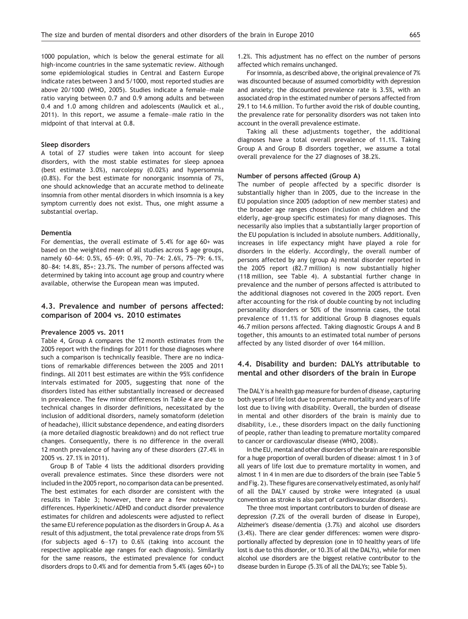1000 population, which is below the general estimate for all high-income countries in the same systematic review. Although some epidemiological studies in Central and Eastern Europe indicate rates between 3 and 5/1000, most reported studies are above 20/1000 (WHO, 2005). Studies indicate a female–male ratio varying between 0.7 and 0.9 among adults and between 0.4 and 1.0 among children and adolescents (Maulick et al., 2011). In this report, we assume a female–male ratio in the midpoint of that interval at 0.8.

## Sleep disorders

A total of 27 studies were taken into account for sleep disorders, with the most stable estimates for sleep apnoea (best estimate 3.0%), narcolepsy (0.02%) and hypersomnia (0.8%). For the best estimate for nonorganic insomnia of 7%, one should acknowledge that an accurate method to delineate insomnia from other mental disorders in which insomnia is a key symptom currently does not exist. Thus, one might assume a substantial overlap.

#### Dementia

For dementias, the overall estimate of 5.4% for age 60+ was based on the weighted mean of all studies across 5 age groups, namely 60–64: 0.5%, 65–69: 0.9%, 70–74: 2.6%, 75–79: 6.1%, 80–84: 14.8%, 85+: 23.7%. The number of persons affected was determined by taking into account age group and country where available, otherwise the European mean was imputed.

## 4.3. Prevalence and number of persons affected: comparison of 2004 vs. 2010 estimates

#### Prevalence 2005 vs. 2011

Table 4, Group A compares the 12 month estimates from the 2005 report with the findings for 2011 for those diagnoses where such a comparison is technically feasible. There are no indications of remarkable differences between the 2005 and 2011 findings. All 2011 best estimates are within the 95% confidence intervals estimated for 2005, suggesting that none of the disorders listed has either substantially increased or decreased in prevalence. The few minor differences in Table 4 are due to technical changes in disorder definitions, necessitated by the inclusion of additional disorders, namely somatoform (deletion of headache), illicit substance dependence, and eating disorders (a more detailed diagnostic breakdown) and do not reflect true changes. Consequently, there is no difference in the overall 12 month prevalence of having any of these disorders (27.4% in 2005 vs. 27.1% in 2011).

Group B of Table 4 lists the additional disorders providing overall prevalence estimates. Since these disorders were not included in the 2005 report, no comparison data can be presented. The best estimates for each disorder are consistent with the results in Table 3; however, there are a few noteworthy differences. Hyperkinetic/ADHD and conduct disorder prevalence estimates for children and adolescents were adjusted to reflect the same EU reference population as the disorders in Group A. As a result of this adjustment, the total prevalence rate drops from 5% (for subjects aged 6–17) to 0.6% (taking into account the respective applicable age ranges for each diagnosis). Similarily for the same reasons, the estimated prevalence for conduct disorders drops to 0.4% and for dementia from 5.4% (ages 60+) to

1.2%. This adjustment has no effect on the number of persons affected which remains unchanged.

For insomnia, as described above, the original prevalence of 7% was discounted because of assumed comorbidity with depression and anxiety; the discounted prevalence rate is 3.5%, with an associated drop in the estimated number of persons affected from 29.1 to 14.6 million. To further avoid the risk of double counting, the prevalence rate for personality disorders was not taken into account in the overall prevalence estimate.

Taking all these adjustments together, the additional diagnoses have a total overall prevalence of 11.1%. Taking Group A and Group B disorders together, we assume a total overall prevalence for the 27 diagnoses of 38.2%.

## Number of persons affected (Group A)

The number of people affected by a specific disorder is substantially higher than in 2005, due to the increase in the EU population since 2005 (adoption of new member states) and the broader age ranges chosen (inclusion of children and the elderly, age-group specific estimates) for many diagnoses. This necessarily also implies that a substantially larger proportion of the EU population is included in absolute numbers. Additionally, increases in life expectancy might have played a role for disorders in the elderly. Accordingly, the overall number of persons affected by any (group A) mental disorder reported in the 2005 report (82.7 million) is now substantially higher (118 million, see Table 4). A substantial further change in prevalence and the number of persons affected is attributed to the additional diagnoses not covered in the 2005 report. Even after accounting for the risk of double counting by not including personality disorders or 50% of the insomnia cases, the total prevalence of 11.1% for additional Group B diagnoses equals 46.7 milion persons affected. Taking diagnostic Groups A and B together, this amounts to an estimated total number of persons affected by any listed disorder of over 164 million.

## 4.4. Disability and burden: DALYs attributable to mental and other disorders of the brain in Europe

The DALY is a health gap measure for burden of disease, capturing both years of life lost due to premature mortality and years of life lost due to living with disability. Overall, the burden of disease in mental and other disorders of the brain is mainly due to disability, i.e., these disorders impact on the daily functioning of people, rather than leading to premature mortality compared to cancer or cardiovascular disease (WHO, 2008).

In the EU, mental and other disorders of the brain are responsible for a huge proportion of overall burden of disease: almost 1 in 3 of all years of life lost due to premature mortality in women, and almost 1 in 4 in men are due to disorders of the brain (see Table 5 and Fig. 2). These figures are conservatively estimated, as only half of all the DALY caused by stroke were integrated (a usual convention as stroke is also part of cardiovascular disorders).

The three most important contributors to burden of disease are depression (7.2% of the overall burden of disease in Europe), Alzheimer's disease/dementia (3.7%) and alcohol use disorders (3.4%). There are clear gender differences: women were disproportionally affected by depression (one in 10 healthy years of life lost is due to this disorder, or 10.3% of all the DALYs), while for men alcohol use disorders are the biggest relative contributor to the disease burden in Europe (5.3% of all the DALYs; see Table 5).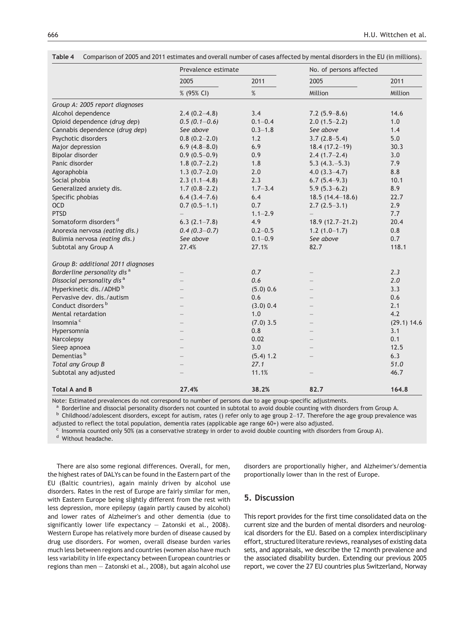|                                         | Prevalence estimate |             | No. of persons affected |             |
|-----------------------------------------|---------------------|-------------|-------------------------|-------------|
|                                         | 2005                | 2011        | 2005                    | 2011        |
|                                         | % (95% CI)          | $\%$        | Million                 | Million     |
| Group A: 2005 report diagnoses          |                     |             |                         |             |
| Alcohol dependence                      | $2.4(0.2-4.8)$      | 3.4         | $7.2(5.9 - 8.6)$        | 14.6        |
| Opioid dependence (drug dep)            | $0.5(0.1-0.6)$      | $0.1 - 0.4$ | $2.0(1.5-2.2)$          | 1.0         |
| Cannabis dependence (drug dep)          | See above           | $0.3 - 1.8$ | See above               | 1.4         |
| Psychotic disorders                     | $0.8(0.2 - 2.0)$    | 1.2         | $3.7(2.8-5.4)$          | 5.0         |
| Major depression                        | $6.9(4.8 - 8.0)$    | 6.9         | $18.4(17.2-19)$         | 30.3        |
| Bipolar disorder                        | $0.9(0.5-0.9)$      | 0.9         | $2.4(1.7-2.4)$          | 3.0         |
| Panic disorder                          | $1.8(0.7-2.2)$      | 1.8         | $5.3(4.3,-5.3)$         | 7.9         |
| Agoraphobia                             | $1.3(0.7-2.0)$      | 2.0         | $4.0(3.3-4.7)$          | 8.8         |
| Social phobia                           | $2.3(1.1-4.8)$      | 2.3         | $6.7(5.4-9.3)$          | 10.1        |
| Generalized anxiety dis.                | $1.7(0.8-2.2)$      | $1.7 - 3.4$ | $5.9(5.3-6.2)$          | 8.9         |
| Specific phobias                        | $6.4(3.4 - 7.6)$    | 6.4         | $18.5(14.4 - 18.6)$     | 22.7        |
| <b>OCD</b>                              | $0.7(0.5-1.1)$      | 0.7         | $2.7(2.5-3.1)$          | 2.9         |
| <b>PTSD</b>                             |                     | $1.1 - 2.9$ |                         | 7.7         |
| Somatoform disorders <sup>d</sup>       | $6.3(2.1 - 7.8)$    | 4.9         | $18.9(12.7-21.2)$       | 20.4        |
| Anorexia nervosa (eating dis.)          | $0.4(0.3 - 0.7)$    | $0.2 - 0.5$ | $1.2(1.0-1.7)$          | 0.8         |
| Bulimia nervosa (eating dis.)           | See above           | $0.1 - 0.9$ | See above               | 0.7         |
| Subtotal any Group A                    | 27.4%               | 27.1%       | 82.7                    | 118.1       |
| Group B: additional 2011 diagnoses      |                     |             |                         |             |
| Borderline personality dis <sup>a</sup> |                     | 0.7         |                         | 2.3         |
| Dissocial personality dis <sup>a</sup>  |                     | 0.6         |                         | 2.0         |
| Hyperkinetic dis./ADHD <sup>b</sup>     |                     | (5.0) 0.6   |                         | 3.3         |
| Pervasive dev. dis./autism              |                     | 0.6         |                         | 0.6         |
| Conduct disorders <sup>b</sup>          |                     | (3.0) 0.4   |                         | 2.1         |
| Mental retardation                      |                     | 1.0         |                         | 4.2         |
| Insomnia <sup>c</sup>                   |                     | $(7.0)$ 3.5 |                         | (29.1) 14.6 |
| Hypersomnia                             |                     | 0.8         |                         | 3.1         |
| Narcolepsy                              |                     | 0.02        |                         | 0.1         |
| Sleep apnoea                            |                     | 3.0         |                         | 12.5        |
| Dementias <sup>b</sup>                  |                     | (5.4) 1.2   |                         | 6.3         |
| Total any Group B                       |                     | 27.1        |                         | 51.0        |
| Subtotal any adjusted                   |                     | 11.1%       |                         | 46.7        |
| <b>Total A and B</b>                    | 27.4%               | 38.2%       | 82.7                    | 164.8       |

Table 4 Comparison of 2005 and 2011 estimates and overall number of cases affected by mental disorders in the EU (in millions).

Note: Estimated prevalences do not correspond to number of persons due to age group-specific adjustments.

<sup>a</sup> Borderline and dissocial personality disorders not counted in subtotal to avoid double counting with disorders from Group A. b Childhood/adolescent disorders, except for autism, rates () refer only to age group 2–17. Therefore the age group prevalence was

adjusted to reflect the total population, dementia rates (applicable age range 60+) were also adjusted.

<sup>c</sup> Insomnia counted only 50% (as a conservative strategy in order to avoid double counting with disorders from Group A).<br><sup>d</sup> Without headache.

There are also some regional differences. Overall, for men, the highest rates of DALYs can be found in the Eastern part of the EU (Baltic countries), again mainly driven by alcohol use disorders. Rates in the rest of Europe are fairly similar for men, with Eastern Europe being slightly different from the rest with less depression, more epilepsy (again partly caused by alcohol) and lower rates of Alzheimer's and other dementia (due to significantly lower life expectancy — Zatonski et al., 2008). Western Europe has relatively more burden of disease caused by drug use disorders. For women, overall disease burden varies much less between regions and countries (women also have much less variability in life expectancy between European countries or regions than men — Zatonski et al., 2008), but again alcohol use disorders are proportionally higher, and Alzheimer's/dementia proportionally lower than in the rest of Europe.

# 5. Discussion

This report provides for the first time consolidated data on the current size and the burden of mental disorders and neurological disorders for the EU. Based on a complex interdisciplinary effort, structured literature reviews, reanalyses of existing data sets, and appraisals, we describe the 12 month prevalence and the associated disability burden. Extending our previous 2005 report, we cover the 27 EU countries plus Switzerland, Norway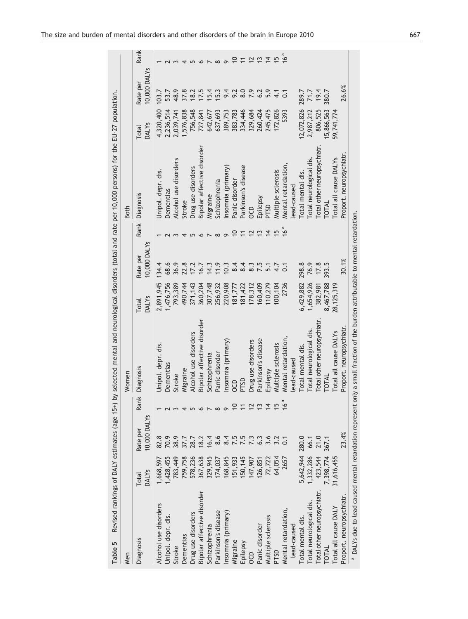| Revised rankings of DALY estimates (age 15+) by<br>Table 5 |                       |                          |                | selected mental and neurological disorders (total and rate per 10,000 persons) for the EU-27 population.                        |                              |                          |                 |                            |                       |                          |                 |
|------------------------------------------------------------|-----------------------|--------------------------|----------------|---------------------------------------------------------------------------------------------------------------------------------|------------------------------|--------------------------|-----------------|----------------------------|-----------------------|--------------------------|-----------------|
| Men                                                        |                       |                          |                | Women                                                                                                                           |                              |                          |                 | <b>Both</b>                |                       |                          |                 |
| Diagnosis                                                  | <b>DALYS</b><br>Total | 10,000 DALYS<br>Rate per | Rank           | Diagnosis                                                                                                                       | <b>DALYS</b><br><b>Total</b> | 10,000 DALYS<br>Rate per |                 | Rank Diagnosis             | <b>DALYS</b><br>Total | 10,000 DALYS<br>Rate per | Rank            |
| Alcohol use disorders                                      | 1,668,597             | 82.8                     |                | Unipol. depr. dis.                                                                                                              | 2,891,945                    | 134.4                    |                 | Unipol. depr. dis.         | 4,320,400             | 103.7                    |                 |
| Unipol. depr. dis.                                         | ,428,455              | 70.9                     |                | Dementias                                                                                                                       | 1,476,756                    | 68.6                     |                 | Dementias                  | 2,236,514             | 53.7                     |                 |
| Stroke                                                     | 783,449               | 38.9                     |                | Stroke                                                                                                                          | 793,389                      | 36.9                     |                 | Alcohol use disorders      | 2,039,741             | 48.9                     |                 |
| Dementias                                                  | 759,758               | 37.7                     |                | Migraine                                                                                                                        | 490,744                      | 22.8                     |                 | Stroke                     | 1,576,838             | 37.8                     |                 |
| Drug use disorders                                         | 578,236               | 28.7                     |                | Alcohol use disorders                                                                                                           | 371, 143                     | 17.2                     |                 | Drug use disorders         | 756,548               | 18.2                     |                 |
| Bipolar affective disorder                                 | 367,638               | 18.2                     |                | Bipolar affective disorder                                                                                                      | 360,204                      | 16.7                     |                 | Bipolar affective disorder | 727,841               | 17.5                     |                 |
| Schizophrenia                                              | 329,945               | 6.4                      |                | Schizophrenia                                                                                                                   | 307,748                      | 14.3                     |                 | Migraine                   | 642,677               | 15.4                     |                 |
| Parkinson's disease                                        | 174,037               | $\frac{8}{6}$            |                | Panic disorder                                                                                                                  | 256,932                      | 11.9                     |                 | Schizophrenia              | 637,693               | 15.3                     | ∞               |
| Insomnia (primary)                                         | 168,845               |                          |                | Insomnia (primary)                                                                                                              | 220,908                      | 10.3                     |                 | Insomnia (primary)         | 389,753               | 9.4                      |                 |
| Migraine                                                   | [51,933]              |                          |                | OCD                                                                                                                             | 181,777                      | 8.4                      | $\overline{0}$  | Panic disorder             | 383,783               | 9.2                      |                 |
| Epilepsy                                                   | 150,145               |                          |                | <b>PTSD</b>                                                                                                                     | 181,422                      | 8.4                      | $\overline{1}$  | Parkinson's disease        | 334,446               | 8.0                      |                 |
| OCD                                                        | 147,907               |                          | $\Xi$          | Drug use disorders                                                                                                              | 178,312                      | 8.3                      | 12              | <b>OCD</b>                 | 329,684               | 7.9                      | $\overline{c}$  |
| Panic disorder                                             | 126,851               | 6.3                      |                | Parkinson's disease                                                                                                             | 160,409                      |                          | 13              | Epilepsy                   | 260,424               | 6.2                      |                 |
| Multiple sclerosis                                         | 72,722                | 3.6                      | $\overline{4}$ | Epilepsy                                                                                                                        | 110,279                      |                          | $\overline{4}$  | <b>PTSD</b>                | 245,475               | 5.9                      | $\overline{4}$  |
| PTSD                                                       | 64,054                | 3.2                      | $\overline{1}$ | Multiple sclerosis                                                                                                              | 00,104                       | 4.7                      | $\overline{15}$ | Multiple sclerosis         | 172,826               | 4.1                      | $\overline{15}$ |
| Mental retardation,                                        | 2657                  | $\overline{0}$           | $\frac{6}{1}$  | Mental retardation,                                                                                                             | 2736                         | $\overline{0}$           | $\frac{6}{5}$   | Mental retardation,        | 5393                  | $\overline{0}$           | 16 <sup>a</sup> |
| lead-caused                                                |                       |                          |                | lead-caused                                                                                                                     |                              |                          |                 | ead-caused                 |                       |                          |                 |
| Total mental dis.                                          | 5,642,944             | 280.0                    |                | Total mental dis.                                                                                                               | 6,429,882                    | 298.8                    |                 | Total mental dis           | 12,072,826            | 289.7                    |                 |
| Total neurological dis.                                    | 1,332,286             | 66.1                     |                | Total neurological dis.                                                                                                         | 1,654,926                    | 76.9                     |                 | Total neurological dis.    | 2,987,212             | 71.7                     |                 |
| Total other neuropsychiatr                                 | 423,544               | 21.0                     |                | Total other neuropsychiatr                                                                                                      | 382,981                      | 17.8                     |                 | Total other neuropsychiatr | 806,525               | 19.4                     |                 |
| TOTAL                                                      | 7,398,774             | 367.1                    |                | TOTAL                                                                                                                           | 8,467,788                    | 393.5                    |                 | TOTAL                      | 15,866,563            | 380.7                    |                 |
| Total all cause DALY                                       | 31,616,455            |                          |                | Total all cause DALYs                                                                                                           | 28, 125, 319                 |                          |                 | Total all cause DALYs      | 59,741,774            |                          |                 |
| Proport. neuropsychiatr.                                   |                       | 23.4%                    |                | Proport. neuropsychiatr.                                                                                                        |                              | 30.1%                    |                 | Proport. neuropsychiatr.   |                       | 26.6%                    |                 |
|                                                            |                       |                          |                | a DALYs due to lead caused mental retardation represent only a small fraction of the burden attributable to mental retardation. |                              |                          |                 |                            |                       |                          |                 |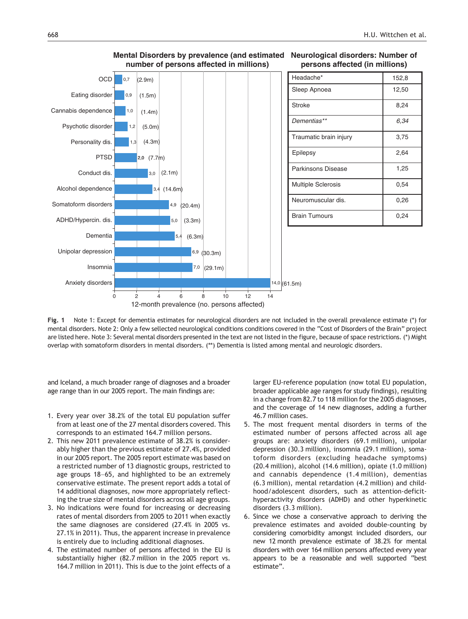

#### **Mental Disorders by prevalence (and estimated number of persons affected in millions) Neurological disorders: Number of persons affected (in millions)**

Fig. 1 Note 1: Except for dementia estimates for neurological disorders are not included in the overall prevalence estimate (\*) for mental disorders. Note 2: Only a few sellected neurological conditions conditions covered in the "Cost of Disorders of the Brain" project are listed here. Note 3: Several mental disorders presented in the text are not listed in the figure, because of space restrictions. (\*) Might overlap with somatoform disorders in mental disorders. (\*\*) Dementia is listed among mental and neurologic disorders.

and Iceland, a much broader range of diagnoses and a broader age range than in our 2005 report. The main findings are:

- 1. Every year over 38.2% of the total EU population suffer from at least one of the 27 mental disorders covered. This corresponds to an estimated 164.7 million persons.
- 2. This new 2011 prevalence estimate of 38.2% is considerably higher than the previous estimate of 27.4%, provided in our 2005 report. The 2005 report estimate was based on a restricted number of 13 diagnostic groups, restricted to age groups 18–65, and highlighted to be an extremely conservative estimate. The present report adds a total of 14 additional diagnoses, now more appropriately reflecting the true size of mental disorders across all age groups.
- 3. No indications were found for increasing or decreasing rates of mental disorders from 2005 to 2011 when exactly the same diagnoses are considered (27.4% in 2005 vs. 27.1% in 2011). Thus, the apparent increase in prevalence is entirely due to including additional diagnoses.
- 4. The estimated number of persons affected in the EU is substantially higher (82.7 million in the 2005 report vs. 164.7 million in 2011). This is due to the joint effects of a

larger EU-reference population (now total EU population, broader applicable age ranges for study findings), resulting in a change from 82.7 to 118 million for the 2005 diagnoses, and the coverage of 14 new diagnoses, adding a further 46.7 million cases.

- 5. The most frequent mental disorders in terms of the estimated number of persons affected across all age groups are: anxiety disorders (69.1 million), unipolar depression (30.3 million), insomnia (29.1 million), somatoform disorders (excluding headache symptoms) (20.4 million), alcohol (14.6 million), opiate (1.0 million) and cannabis dependence (1.4 million), dementias (6.3 million), mental retardation (4.2 million) and childhood/adolescent disorders, such as attention-deficithyperactivity disorders (ADHD) and other hyperkinetic disorders (3.3 million).
- 6. Since we chose a conservative approach to deriving the prevalence estimates and avoided double-counting by considering comorbidity amongst included disorders, our new 12 month prevalence estimate of 38.2% for mental disorders with over 164 million persons affected every year appears to be a reasonable and well supported "best estimate".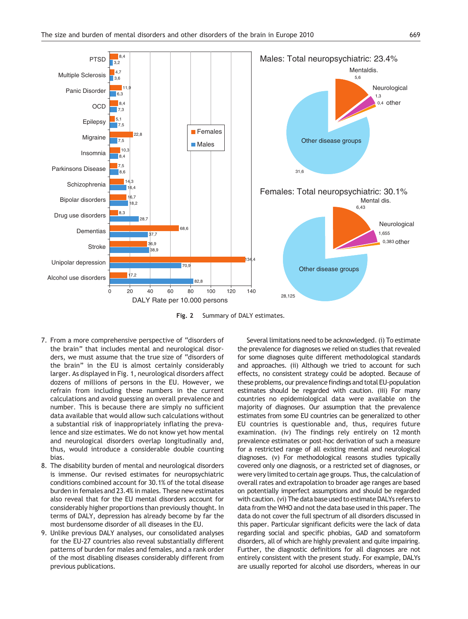

Fig. 2 Summary of DALY estimates.

- 7. From a more comprehensive perspective of "disorders of the brain" that includes mental and neurological disorders, we must assume that the true size of "disorders of the brain" in the EU is almost certainly considerably larger. As displayed in Fig. 1, neurological disorders affect dozens of millions of persons in the EU. However, we refrain from including these numbers in the current calculations and avoid guessing an overall prevalence and number. This is because there are simply no sufficient data available that would allow such calculations without a substantial risk of inappropriately inflating the prevalence and size estimates. We do not know yet how mental and neurological disorders overlap longitudinally and, thus, would introduce a considerable double counting bias.
- 8. The disability burden of mental and neurological disorders is immense. Our revised estimates for neuropsychiatric conditions combined account for 30.1% of the total disease burden in females and 23.4% in males. These new estimates also reveal that for the EU mental disorders account for considerably higher proportions than previously thought. In terms of DALY, depression has already become by far the most burdensome disorder of all diseases in the EU.
- 9. Unlike previous DALY analyses, our consolidated analyses for the EU-27 countries also reveal substantially different patterns of burden for males and females, and a rank order of the most disabling diseases considerably different from previous publications.

Several limitations need to be acknowledged. (i) To estimate the prevalence for diagnoses we relied on studies that revealed for some diagnoses quite different methodological standards and approaches. (ii) Although we tried to account for such effects, no consistent strategy could be adopted. Because of these problems, our prevalence findings and total EU-population estimates should be regarded with caution. (iii) For many countries no epidemiological data were available on the majority of diagnoses. Our assumption that the prevalence estimates from some EU countries can be generalized to other EU countries is questionable and, thus, requires future examination. (iv) The findings rely entirely on 12 month prevalence estimates or post-hoc derivation of such a measure for a restricted range of all existing mental and neurological diagnoses. (v) For methodological reasons studies typically covered only one diagnosis, or a restricted set of diagnoses, or were very limited to certain age groups. Thus, the calculation of overall rates and extrapolation to broader age ranges are based on potentially imperfect assumptions and should be regarded with caution. (vi) The data base used to estimate DALYs refers to data from the WHO and not the data base used in this paper. The data do not cover the full spectrum of all disorders discussed in this paper. Particular significant deficits were the lack of data regarding social and specific phobias, GAD and somatoform disorders, all of which are highly prevalent and quite impairing. Further, the diagnostic definitions for all diagnoses are not entirely consistent with the present study. For example, DALYs are usually reported for alcohol use disorders, whereas in our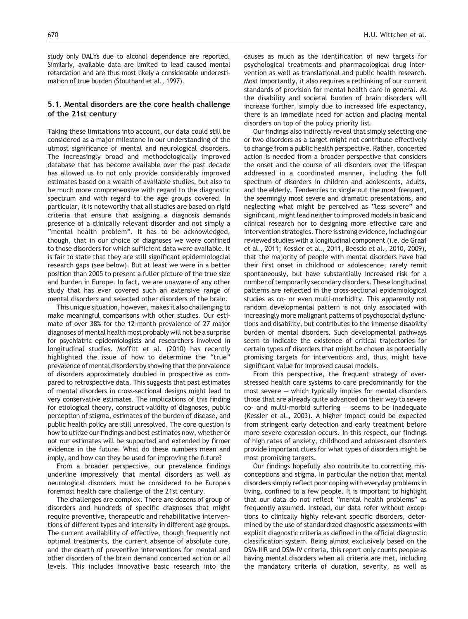study only DALYs due to alcohol dependence are reported. Similarly, available data are limited to lead caused mental retardation and are thus most likely a considerable underestimation of true burden (Stouthard et al., 1997).

## 5.1. Mental disorders are the core health challenge of the 21st century

Taking these limitations into account, our data could still be considered as a major milestone in our understanding of the utmost significance of mental and neurological disorders. The increasingly broad and methodologically improved database that has become available over the past decade has allowed us to not only provide considerably improved estimates based on a wealth of available studies, but also to be much more comprehensive with regard to the diagnostic spectrum and with regard to the age groups covered. In particular, it is noteworthy that all studies are based on rigid criteria that ensure that assigning a diagnosis demands presence of a clinically relevant disorder and not simply a "mental health problem". It has to be acknowledged, though, that in our choice of diagnoses we were confined to those disorders for which sufficient data were available. It is fair to state that they are still significant epidemiologcial research gaps (see below). But at least we were in a better position than 2005 to present a fuller picture of the true size and burden in Europe. In fact, we are unaware of any other study that has ever covered such an extensive range of mental disorders and selected other disorders of the brain.

This unique situation, however, makes it also challenging to make meaningful comparisons with other studies. Our estimate of over 38% for the 12-month prevalence of 27 major diagnoses of mental health most probably will not be a surprise for psychiatric epidemiologists and researchers involved in longitudinal studies. Moffitt et al. (2010) has recently highlighted the issue of how to determine the "true" prevalence of mental disorders by showing that the prevalence of disorders approximately doubled in prospective as compared to retrospective data. This suggests that past estimates of mental disorders in cross-sectional designs might lead to very conservative estimates. The implications of this finding for etiological theory, construct validity of diagnoses, public perception of stigma, estimates of the burden of disease, and public health policy are still unresolved. The core question is how to utilize our findings and best estimates now, whether or not our estimates will be supported and extended by firmer evidence in the future. What do these numbers mean and imply, and how can they be used for improving the future?

From a broader perspective, our prevalence findings underline impressively that mental disorders as well as neurological disorders must be considered to be Europe's foremost health care challenge of the 21st century.

The challenges are complex. There are dozens of group of disorders and hundreds of specific diagnoses that might require preventive, therapeutic and rehabilitative interventions of different types and intensity in different age groups. The current availability of effective, though frequently not optimal treatments, the current absence of absolute cure, and the dearth of preventive interventions for mental and other disorders of the brain demand concerted action on all levels. This includes innovative basic research into the

causes as much as the identification of new targets for psychological treatments and pharmacological drug intervention as well as translational and public health research. Most importantly, it also requires a rethinking of our current standards of provision for mental health care in general. As the disability and societal burden of brain disorders will increase further, simply due to increased life expectancy, there is an immediate need for action and placing mental disorders on top of the policy priority list.

Our findings also indirectly reveal that simply selecting one or two disorders as a target might not contribute effectively to change from a public health perspective. Rather, concerted action is needed from a broader perspective that considers the onset and the course of all disorders over the lifespan addressed in a coordinated manner, including the full spectrum of disorders in children and adolescents, adults, and the elderly. Tendencies to single out the most frequent, the seemingly most severe and dramatic presentations, and neglecting what might be perceived as "less severe" and significant, might lead neither to improved models in basic and clinical research nor to designing more effective care and intervention strategies. There is strong evidence, including our reviewed studies with a longitudinal component (i.e. de Graaf et al., 2011; Kessler et al., 2011, Beesdo et al., 2010, 2009), that the majority of people with mental disorders have had their first onset in childhood or adolescence, rarely remit spontaneously, but have substantially increased risk for a number of temporarily secondary disorders. These longitudinal patterns are reflected in the cross-sectional epidemiological studies as co- or even multi-morbidity. This apparently not random developmental pattern is not only associated with increasingly more malignant patterns of psychosocial dysfunctions and disability, but contributes to the immense disability burden of mental disorders. Such developmental pathways seem to indicate the existence of critical trajectories for certain types of disorders that might be chosen as potentially promising targets for interventions and, thus, might have significant value for improved causal models.

From this perspective, the frequent strategy of overstressed health care systems to care predominantly for the most severe — which typically implies for mental disorders those that are already quite advanced on their way to severe co- and multi-morbid suffering — seems to be inadequate (Kessler et al., 2003). A higher impact could be expected from stringent early detection and early treatment before more severe expression occurs. In this respect, our findings of high rates of anxiety, childhood and adolescent disorders provide important clues for what types of disorders might be most promising targets.

Our findings hopefully also contribute to correcting misconceptions and stigma. In particular the notion that mental disorders simply reflect poor coping with everyday problems in living, confined to a few people. It is important to highlight that our data do not reflect "mental health problems" as frequently assumed. Instead, our data refer without exceptions to clinically highly relevant specific disorders, determined by the use of standardized diagnostic assessments with explicit diagnostic criteria as defined in the official diagnostic classification system. Being almost exclusively based on the DSM-IIIR and DSM-IV criteria, this report only counts people as having mental disorders when all criteria are met, including the mandatory criteria of duration, severity, as well as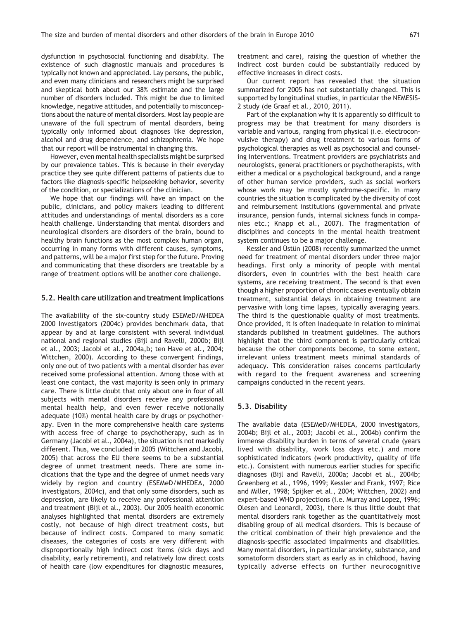dysfunction in psychosocial functioning and disability. The existence of such diagnostic manuals and procedures is typically not known and appreciated. Lay persons, the public, and even many clinicians and researchers might be surprised and skeptical both about our 38% estimate and the large number of disorders included. This might be due to limited knowledge, negative attitudes, and potentially to misconceptions about the nature of mental disorders. Most lay people are unaware of the full spectrum of mental disorders, being typically only informed about diagnoses like depression, alcohol and drug dependence, and schizophrenia. We hope that our report will be instrumental in changing this.

However, even mental health specialists might be surprised by our prevalence tables. This is because in their everyday practice they see quite different patterns of patients due to factors like diagnosis-specific helpseeking behavior, severity of the condition, or specializations of the clinician.

We hope that our findings will have an impact on the public, clinicians, and policy makers leading to different attitudes and understandings of mental disorders as a core health challenge. Understanding that mental disorders and neurological disorders are disorders of the brain, bound to healthy brain functions as the most complex human organ, occurring in many forms with different causes, symptoms, and patterns, will be a major first step for the future. Proving and communicating that these disorders are treatable by a range of treatment options will be another core challenge.

#### 5.2. Health care utilization and treatment implications

The availability of the six-country study ESEMeD/MHEDEA 2000 Investigators (2004c) provides benchmark data, that appear by and at large consistent with several individual national and regional studies (Bijl and Ravelli, 2000b; Bijl et al., 2003; Jacobi et al., 2004a,b; ten Have et al., 2004; Wittchen, 2000). According to these convergent findings, only one out of two patients with a mental disorder has ever received some professional attention. Among those with at least one contact, the vast majority is seen only in primary care. There is little doubt that only about one in four of all subjects with mental disorders receive any professional mental health help, and even fewer receive notionally adequate (10%) mental health care by drugs or psychotherapy. Even in the more comprehensive health care systems with access free of charge to psychotherapy, such as in Germany (Jacobi et al., 2004a), the situation is not markedly different. Thus, we concluded in 2005 (Wittchen and Jacobi, 2005) that across the EU there seems to be a substantial degree of unmet treatment needs. There are some indications that the type and the degree of unmet needs vary widely by region and country (ESEMeD/MHEDEA, 2000 Investigators, 2004c), and that only some disorders, such as depression, are likely to receive any professional attention and treatment (Bijl et al., 2003). Our 2005 health economic analyses highlighted that mental disorders are extremely costly, not because of high direct treatment costs, but because of indirect costs. Compared to many somatic diseases, the categories of costs are very different with disproportionally high indirect cost items (sick days and disability, early retirement), and relatively low direct costs of health care (low expenditures for diagnostic measures, treatment and care), raising the question of whether the indirect cost burden could be substantially reduced by effective increases in direct costs.

Our current report has revealed that the situation summarized for 2005 has not substantially changed. This is supported by longitudinal studies, in particular the NEMESIS-2 study (de Graaf et al., 2010, 2011).

Part of the explanation why it is apparently so difficult to progress may be that treatment for many disorders is variable and various, ranging from physical (i.e. electroconvulsive therapy) and drug treatment to various forms of psychological therapies as well as psychosocial and counseling interventions. Treatment providers are psychiatrists and neurologists, general practitioners or psychotherapists, with either a medical or a psychological background, and a range of other human service providers, such as social workers whose work may be mostly syndrome-specific. In many countries the situation is complicated by the diversity of cost and reimbursement institutions (governmental and private insurance, pension funds, internal sickness funds in companies etc.; Knapp et al., 2007). The fragmentation of disciplines and concepts in the mental health treatment system continues to be a major challenge.

Kessler and Üstün (2008) recently summarized the unmet need for treatment of mental disorders under three major headings. First only a minority of people with mental disorders, even in countries with the best health care systems, are receiving treatment. The second is that even though a higher proportion of chronic cases eventually obtain treatment, substantial delays in obtaining treatment are pervasive with long time lapses, typically averaging years. The third is the questionable quality of most treatments. Once provided, it is often inadequate in relation to minimal standards published in treatment guidelines. The authors highlight that the third component is particularly critical because the other components become, to some extent, irrelevant unless treatment meets minimal standards of adequacy. This consideration raises concerns particularly with regard to the frequent awareness and screening campaigns conducted in the recent years.

## 5.3. Disability

The available data (ESEMeD/MHEDEA, 2000 investigators, 2004b; Bijl et al., 2003; Jacobi et al., 2004b) confirm the immense disability burden in terms of several crude (years lived with disability, work loss days etc.) and more sophisticated indicators (work productivity, quality of life etc.). Consistent with numerous earlier studies for specific diagnoses (Bijl and Ravelli, 2000a; Jacobi et al., 2004b; Greenberg et al., 1996, 1999; Kessler and Frank, 1997; Rice and Miller, 1998; Spijker et al., 2004; Wittchen, 2002) and expert-based WHO projections (i.e. Murray and Lopez, 1996; Olesen and Leonardi, 2003), there is thus little doubt that mental disorders rank together as the quantitatively most disabling group of all medical disorders. This is because of the critical combination of their high prevalence and the diagnosis-specific associated impairments and disabilities. Many mental disorders, in particular anxiety, substance, and somatoform disorders start as early as in childhood, having typically adverse effects on further neurocognitive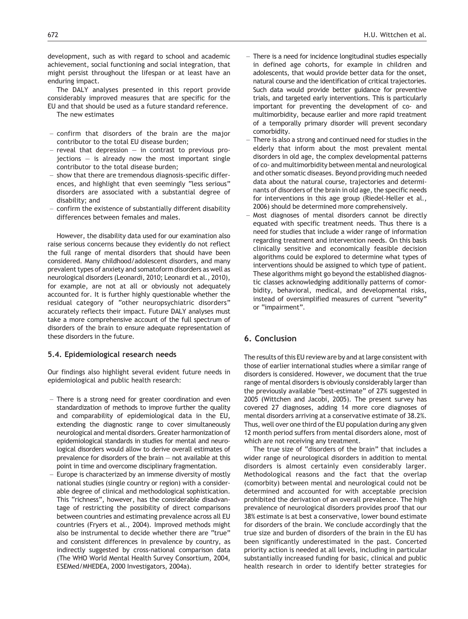development, such as with regard to school and academic achievement, social functioning and social integration, that might persist throughout the lifespan or at least have an enduring impact.

The DALY analyses presented in this report provide considerably improved measures that are specific for the EU and that should be used as a future standard reference.

The new estimates

- confirm that disorders of the brain are the major contributor to the total EU disease burden;
- $-$  reveal that depression  $-$  in contrast to previous pro $j$ ections  $-$  is already now the most important single contributor to the total disease burden;
- show that there are tremendous diagnosis-specific differences, and highlight that even seemingly "less serious" disorders are associated with a substantial degree of disability; and
- confirm the existence of substantially different disability differences between females and males.

However, the disability data used for our examination also raise serious concerns because they evidently do not reflect the full range of mental disorders that should have been considered. Many childhood/adolescent disorders, and many prevalent types of anxiety and somatoform disorders as well as neurological disorders (Leonardi, 2010; Leonardi et al., 2010), for example, are not at all or obviously not adequately accounted for. It is further highly questionable whether the residual category of "other neuropsychiatric disorders" accurately reflects their impact. Future DALY analyses must take a more comprehensive account of the full spectrum of disorders of the brain to ensure adequate representation of these disorders in the future.

## 5.4. Epidemiological research needs

Our findings also highlight several evident future needs in epidemiological and public health research:

- There is a strong need for greater coordination and even standardization of methods to improve further the quality and comparability of epidemiological data in the EU, extending the diagnostic range to cover simultaneously neurological and mental disorders. Greater harmonization of epidemiological standards in studies for mental and neurological disorders would allow to derive overall estimates of prevalence for disorders of the brain — not available at this point in time and overcome disciplinary fragmentation.
- Europe is characterized by an immense diversity of mostly national studies (single country or region) with a considerable degree of clinical and methodological sophistication. This "richness", however, has the considerable disadvantage of restricting the possibility of direct comparisons between countries and estimating prevalence across all EU countries (Fryers et al., 2004). Improved methods might also be instrumental to decide whether there are "true" and consistent differences in prevalence by country, as indirectly suggested by cross-national comparison data (The WHO World Mental Health Survey Consortium, 2004, ESEMed/MHEDEA, 2000 Investigators, 2004a).
- There is a need for incidence longitudinal studies especially in defined age cohorts, for example in children and adolescents, that would provide better data for the onset, natural course and the identification of critical trajectories. Such data would provide better guidance for preventive trials, and targeted early interventions. This is particularly important for preventing the development of co- and multimorbidity, because earlier and more rapid treatment of a temporally primary disorder will prevent secondary comorbidity.
- There is also a strong and continued need for studies in the elderly that inform about the most prevalent mental disorders in old age, the complex developmental patterns of co- and multimorbidity between mental and neurological and other somatic diseases. Beyond providing much needed data about the natural course, trajectories and determinants of disorders of the brain in old age, the specific needs for interventions in this age group (Riedel-Heller et al., 2006) should be determined more comprehensively.
- Most diagnoses of mental disorders cannot be directly equated with specific treatment needs. Thus there is a need for studies that include a wider range of information regarding treatment and intervention needs. On this basis clinically sensitive and economically feasible decision algorithms could be explored to determine what types of interventions should be assigned to which type of patient. These algorithms might go beyond the established diagnostic classes acknowledging additionally patterns of comorbidity, behavioral, medical, and developmental risks, instead of oversimplified measures of current "severity" or "impairment".

## 6. Conclusion

The results of this EU review are by and at large consistent with those of earlier international studies where a similar range of disorders is considered. However, we document that the true range of mental disorders is obviously considerably larger than the previously available "best-estimate" of 27% suggested in 2005 (Wittchen and Jacobi, 2005). The present survey has covered 27 diagnoses, adding 14 more core diagnoses of mental disorders arriving at a conservative estimate of 38.2%. Thus, well over one third of the EU population during any given 12 month period suffers from mental disorders alone, most of which are not receiving any treatment.

The true size of "disorders of the brain" that includes a wider range of neurological disorders in addition to mental disorders is almost certainly even considerably larger. Methodological reasons and the fact that the overlap (comorbity) between mental and neurological could not be determined and accounted for with acceptable precision prohibited the derivation of an overall prevalence. The high prevalence of neurological disorders provides proof that our 38% estimate is at best a conservative, lower bound estimate for disorders of the brain. We conclude accordingly that the true size and burden of disorders of the brain in the EU has been significantly underestimated in the past. Concerted priority action is needed at all levels, including in particular substantially increased funding for basic, clinical and public health research in order to identify better strategies for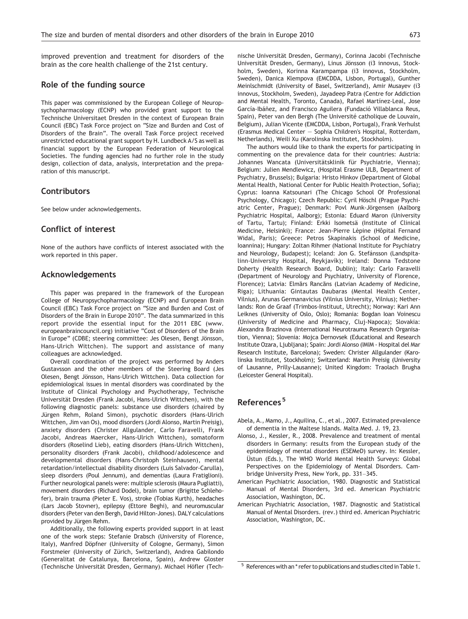improved prevention and treatment for disorders of the brain as the core health challenge of the 21st century.

## Role of the funding source

This paper was commissioned by the European College of Neuropsychopharmacology (ECNP) who provided grant support to the Technische Universitaet Dresden in the context of European Brain Council (EBC) Task Force project on "Size and Burden and Cost of Disorders of the Brain". The overall Task Force project received unrestricted educational grant support by H. Lundbeck A/S as well as financial support by the European Federation of Neurological Societies. The funding agencies had no further role in the study design, collection of data, analysis, interpretation and the preparation of this manuscript.

## **Contributors**

See below under acknowledgements.

## Conflict of interest

None of the authors have conflicts of interest associated with the work reported in this paper.

## Acknowledgements

This paper was prepared in the framework of the European College of Neuropsychopharmacology (ECNP) and European Brain Council (EBC) Task Force project on "Size and Burden and Cost of Disorders of the Brain in Europe 2010". The data summarized in this report provide the essential input for the 2011 EBC (www. europeanbraincouncil.org) initiative "Cost of Disorders of the Brain in Europe" (CDBE; steering committee: Jes Olesen, Bengt Jönsson, Hans-Ulrich Wittchen). The support and assistance of many colleagues are acknowledged.

Overall coordination of the project was performed by Anders Gustavsson and the other members of the Steering Board (Jes Olesen, Bengt Jönsson, Hans-Ulrich Wittchen). Data collection for epidemiological issues in mental disorders was coordinated by the Institute of Clinical Psychology and Psychotherapy, Technische Universität Dresden (Frank Jacobi, Hans-Ulrich Wittchen), with the following diagnostic panels: substance use disorders (chaired by Jürgen Rehm, Roland Simon), psychotic disorders (Hans-Ulrich Wittchen, Jim van Os), mood disorders (Jordi Alonso, Martin Preisig), anxiety disorders (Christer Allgulander, Carlo Faravelli, Frank Jacobi, Andreas Maercker, Hans-Ulrich Wittchen), somatoform disorders (Roselind Lieb), eating disorders (Hans-Ulrich Wittchen), personality disorders (Frank Jacobi), childhood/adolescence and developmental disorders (Hans-Christoph Steinhausen), mental retardation/intellectual disability disorders (Luis Salvador-Carulla), sleep disorders (Poul Jennum), and dementias (Laura Fratiglioni). Further neurological panels were: multiple sclerosis (Maura Pugliatti), movement disorders (Richard Dodel), brain tumor (Brigitte Schlehofer), brain trauma (Pieter E. Vos), stroke (Tobias Kurth), headaches (Lars Jacob Stovner), epilepsy (Ettore Beghi), and neuromuscular disorders (Peter van den Bergh, David Hilton-Jones). DALY calculations provided by Jürgen Rehm.

Additionally, the following experts provided support in at least one of the work steps: Stefanie Drabsch (University of Florence, Italy), Manfred Döpfner (University of Cologne, Germany), Simon Forstmeier (University of Zürich, Switzerland), Andrea Gabilondo (Generalitat de Catalunya, Barcelona, Spain), Andrew Gloster (Technische Universität Dresden, Germany). Michael Höfler (Technische Universität Dresden, Germany), Corinna Jacobi (Technische Universität Dresden, Germany), Linus Jönsson (i3 innovus, Stockholm, Sweden), Korinna Karampampa (i3 innovus, Stockholm, Sweden), Danica Klempova (EMCDDA, Lisbon, Portugal), Gunther Meinlschmidt (University of Basel, Switzerland), Amir Musayev (i3 innovus, Stockholm, Sweden), Jayadeep Patra (Centre for Addiction and Mental Health, Toronto, Canada), Rafael Martínez-Leal, Jose García-Ibáñez, and Francisco Aguilera (Fundació Villablanca Reus, Spain), Peter van den Bergh (The Université catholique de Louvain, Belgium), Julian Vicente (EMCDDA, Lisbon, Portugal), Frank Verhulst (Erasmus Medical Center — Sophia Children's Hospital, Rotterdam, Netherlands), Weili Xu (Karolinska Institutet, Stockholm).

The authors would like to thank the experts for participating in commenting on the prevalence data for their countries: Austria: Johannes Wancata (Universitätsklinik für Psychiatrie, Vienna); Belgium: Julien Mendlewicz, (Hospital Erasme ULB, Department of Psychiatry, Brussels); Bulgaria: Hristo Hinkov (Department of Global Mental Health, National Center for Public Health Protection, Sofia); Cyprus: Ioanna Katsounari (The Chicago School Of Professional Psychology, Chicago); Czech Republic: Cyril Höschl (Prague Psychiatric Center, Prague); Denmark: Povl Munk-Jörgensen (Aalborg Psychiatric Hospital, Aalborg); Estonia: Eduard Maron (University of Tartu, Tartu); Finland: Erkki Isometsä (Institute of Clinical Medicine, Helsinki); France: Jean-Pierre Lèpine (Hôpital Fernand Widal, Paris); Greece: Petros Skapinakis (School of Medicine, Ioannina); Hungary: Zoltan Rihmer (National Institute for Psychiatry and Neurology, Budapest); Iceland: Jon G. Stefánsson (Landspitalinn-University Hospital, Reykjavík); Ireland: Donna Tedstone Doherty (Health Research Board, Dublin); Italy: Carlo Faravelli (Department of Neurology and Psychiatry, University of Florence, Florence); Latvia: Elmārs Rancāns (Latvian Academy of Medicine, Riga); Lithuania: Gintautas Daubaras (Mental Health Center, Vilnius), Arunas Germanavicius (Vilnius University, Vilnius); Netherlands: Ron de Graaf (Trimbos-Instituut, Utrecht); Norway: Kari Ann Leiknes (University of Oslo, Oslo); Romania: Bogdan Ioan Voinescu (University of Medicine and Pharmacy, Cluj-Napoca); Slovakia: Alexandra Brazinova (International Neurotrauma Research Organisation, Vienna); Slovenia: Mojca Dernovsek (Educational and Research Institute Ozara, Ljubljana); Spain: Jordi Alonso (IMIM - Hospital del Mar Research Institute, Barcelona); Sweden: Christer Allgulander (Karolinska Institutet, Stockholm); Switzerland: Martin Preisig (University of Lausanne, Prilly-Lausanne); United Kingdom: Traolach Brugha (Leicester General Hospital).

# References <sup>5</sup>

- Abela, A., Mamo, J., Aquilina, C., et al., 2007. Estimated prevalence of dementia in the Maltese Islands. Malta Med. J. 19, 23.
- Alonso, J., Kessler, R., 2008. Prevalence and treatment of mental disorders in Germany: results from the European study of the epidemiology of mental disorders (ESEMeD) survey. In: Kessler, Üstun (Eds.), The WHO World Mental Health Surveys: Global Perspectives on the Epidemiology of Mental Disorders. Cambridge University Press, New York, pp. 331–345.
- American Psychiatric Association, 1980. Diagnostic and Statistical Manual of Mental Disorders, 3rd ed. American Psychiatric Association, Washington, DC.
- American Psychiatric Association, 1987. Diagnostic and Statistical Manual of Mental Disorders. (rev.) third ed. American Psychiatric Association, Washington, DC.

<sup>5</sup> References with an \* refer to publications and studies cited in Table 1.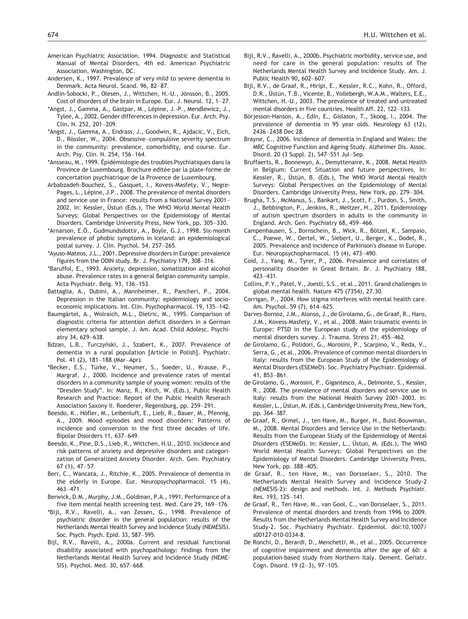- American Psychiatric Association, 1994. Diagnostic and Statistical Manual of Mental Disorders, 4th ed. American Psychiatric Association, Washington, DC.
- Andersen, K., 1997. Prevalence of very mild to severe dementia in Denmark. Acta Neurol. Scand. 96, 82–87.
- Andlin-Sobocki, P., Olesen, J., Wittchen, H.-U., Jönsson, B., 2005. Cost of disorders of the brain in Europe. Eur. J. Neurol. 12, 1–27.
- \*Angst, J., Gamma, A., Gastpar, M., Lépine, J.-P., Mendlewicz, J., Tylee, A., 2002. Gender differences in depression. Eur. Arch. Psy. Clin. N. 252, 201–209.
- \*Angst, J., Gamma, A., Endrass, J., Goodwin, R., Ajdacic, V., Eich, D., Rössler, W., 2004. Obsessive–compulsive severity spectrum in the community: prevalence, comorbidity, and course. Eur. Arch. Psy. Clin. N. 254, 156–164.
- \*Ansseau, M., 1999. Èpidémiologie des troubles Psychiatiques dans la Province de Luxembourg. Brochure editée par la plate-forme de concertation psychiatrique de la Provence de Luxembourg.
- Arbabzadeh-Bouchez, S., Gasquet, I., Kovess-Masfety, V., Negre-Pages, L., Lépine, J.P., 2008. The prevalence of mental disorders and service use in France: results from a National Survey 2001– 2002. In: Kessler, Üstun (Eds.), The WHO World Mental Health Surveys: Global Perspectives on the Epidemiology of Mental Disorders. Cambridge University Press, New York, pp. 305–330.
- \*Arnarson, E.Ö., Gudmundsdottir, A., Boyle, G.J., 1998. Six-month prevalence of phobic symptoms in Iceland: an epidemiological postal survey. J. Clin. Psychol. 54, 257–265.
- \*Ayuso-Mateos, J.L., 2001. Depressive disorders in Europe: prevalence figures from the ODIN study. Br. J. Psychiatry 179, 308–316.
- \*Baruffol, E., 1993. Anxiety, depression, somatization and alcohol abuse. Prevalence rates in a general Belgian community sample. Acta Psychiatr. Belg. 93, 136–153.
- Battaglia, A., Dubini, A., Mannheimer, R., Pancheri, P., 2004. Depression in the Italian community: epidemiology and socioeconomic implications. Int. Clin. Psychopharmacol. 19, 135–142.
- Baumgärtel, A., Wolraich, M.L., Dietric, M., 1995. Comparison of diagnostic criteria for attention deficit disorders in a German elementary school sample. J. Am. Acad. Child Adolesc. Psychiatry 34, 629–638.
- Bdzan, L.B., Turczyński, J., Szabert, K., 2007. Prevalence of dementia in a rural population [Article in Polish]. Psychiatr. Pol. 41 (2), 181–188 (Mar–Apr).
- \*Becker, E.S., Türke, V., Neumer, S., Soeder, U., Krause, P., Margraf, J., 2000. Incidence and prevalence rates of mental disorders in a community sample of young women: results of the "Dresden Study". In: Manz, R., Kirch, W. (Eds.), Public Health Research and Practice: Report of the Public Health Reserach Association Saxony II. Roederer, Regensburg, pp. 259–291.
- Beesdo, K., Höfler, M., Leibenluft, E., Lieb, R., Bauer, M., Pfennig, A., 2009. Mood episodes and mood disorders: Patterns of incidence and conversion in the first three decades of life. Bipolar Disorders 11, 637–649.
- Beesdo, K., Pine, D.S., Lieb, R., Wittchen, H.U., 2010. Incidence and risk patterns of anxiety and depressive disorders and categorization of Generalized Anxiety Disorder. Arch. Gen. Psychiatry 67 (1), 47–57.
- Berr, C., Wancata, J., Ritchie, K., 2005. Prevalence of dementia in the elderly in Europe. Eur. Neuropsychopharmacol. 15 (4), 463–471.
- Berwick, D.M., Murphy, J.M., Goldman, P.A., 1991. Performance of a five item mental health screening test. Med. Care 29, 169–176.
- \*Bijl, R.V., Ravelli, A., van Zessen, G., 1998. Prevalence of psychiatric disorder in the general population: results of the Netherlands Mental Health Survey and Incidence Study (NEMESIS). Soc. Psych. Psych. Epid. 33, 587–595.
- Bijl, R.V., Ravelli, A., 2000a. Current and residual functional disability associated with psychopathology: findings from the Netherlands Mental Health Survey and Incidence Study (NEME-SIS). Psychol. Med. 30, 657–668.
- Bijl, R.V., Ravelli, A., 2000b. Psychiatric morbidity, service use, and need for care in the general population: results of The Netherlands Mental Health Survey and Incidence Study. Am. J. Public Health 90, 602–607.
- Bijl, R.V., de Graaf, R., Hiripi, E., Kessler, R.C., Kohn, R., Offord, D.R., Üstün, T.B., Vicente, B., Vollebergh, W.A.M., Walters, E.E., Wittchen, H.-U., 2003. The prevalence of treated and untreated mental disorders in five countries. Health Aff. 22, 122–133.
- Börjesson-Hanson, A., Edin, E., Gislason, T., Skoog, I., 2004. The prevalence of dementia in 95 year olds. Neurology 63 (12), 2436–2438 Dec 28.
- Brayne, C., 2006. Incidence of dementia in England and Wales: the MRC Cognitive Function and Ageing Study. Alzheimer Dis. Assoc. Disord. 20 (3 Suppl. 2), S47–S51 Jul–Sep.
- Bruffaerts, R., Bonnewyn, A., Demyttenaire, K., 2008. Metal Health in Belgium: Current Situation and future perspectives. In: Kessler, R., Üstün, B. (Eds.), The WHO World Mental Health Surveys: Global Perspectives on the Epidemiology of Mental Disorders. Cambridge University Press, New York, pp. 279–304.
- Brugha, T.S., McManus, S., Bankart, J., Scott, F., Purdon, S., Smith, J., Bebbington, P., Jenkins, R., Meltzer, H., 2011. Epidemiology of autism spectrum disorders in adults in the community in England. Arch. Gen. Psychiatry 68, 459–466.
- Campenhausen, S., Bornschein, B., Wick, R., Bötzel, K., Sampaio, C., Poewe, W., Oertel, W., Siebert, U., Berger, K., Dodel, R., 2005. Prevalence and incidence of Parkinson's disease in Europe. Eur. Neuropsychopharmacol. 15 (4), 473–490.
- Coid, J., Yang, M., Tyrer, P., 2006. Prevalence and correlates of personality disorder in Great Britain. Br. J. Psychiatry 188, 423–431.
- Collins, P.Y., Patel, V., Joestl, S.S., et al., 2011. Grand challenges in global mental health. Nature 475 (7354), 27.30.
- Corrigan, P., 2004. How stigma interferes with mental health care. Am. Psychol. 59 (7), 614–625.
- Darves-Bornoz, J.M., Alonso, J., de Girolamo, G., de Graaf, R., Haro, J.M., Kovess-Masfety, V., et al., 2008. Main traumatic events in Europe: PTSD in the European study of the epidemiology of mental disorders survey. J. Trauma. Stress 21, 455–462.
- de Girolamo, G., Polidori, G., Morosini, P., Scarpino, V., Reda, V., Serra, G., et al., 2006. Prevalence of common mental disorders in Italy: results from the European Study of the Epidemiology of Mental Disorders (ESEMeD). Soc. Psychiatry Psychiatr. Epidemiol. 41, 853–861.
- de Girolamo, G., Morosini, P., Gigantesco, A., Delmonte, S., Kessler, R., 2008. The prevalence of mental disorders and service use in Italy: results from the National Health Survey 2001–2003. In: Kessler, L., Üstun, M. (Eds.), Cambridge University Press, New York, pp. 364–387.
- de Graaf, R., Ormel, J., ten Have, M., Burger, H., Buist-Bouwman, M., 2008. Mental Disorders and Service Use in the Netherlands: Results from the European Study of the Epidemiology of Mental Disorders (ESEMeD). In: Kessler, L., Üstun, M. (Eds.), The WHO World Mental Health Surveys: Global Perspectives on the Epidemiology of Mental Disorders. Cambridge University Press, New York, pp. 388–405.
- de Graaf, R., ten Have, M., van Dorsselaer, S., 2010. The Netherlands Mental Health Survey and Incidence Study-2 (NEMESIS-2): design and methods. Int. J. Methods Psychiatr. Res. 193, 125–141.
- de Graaf, R., Ten Have, M., van Gool, C., van Dorsselaer, S., 2011. Prevalence of mental disorders and trends from 1996 to 2009. Results from the Netherlands Mental Health Survey and Incidence Study-2. Soc. Psychiatry Psychiatr. Epidemiol. doi:10.1007/ s00127-010-0334-8.
- De Ronchi, D., Berardi, D., Menchetti, M., et al., 2005. Occurrence of cognitive impairment and dementia after the age of 60: a population-based study from Northern Italy. Dement. Geriatr. Cogn. Disord. 19 (2–3), 97–105.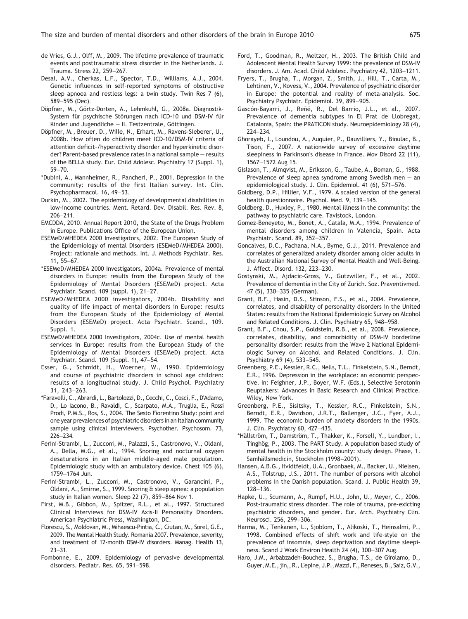- de Vries, G.J., Olff, M., 2009. The lifetime prevalence of traumatic events and posttraumatic stress disorder in the Netherlands. J. Trauma. Stress 22, 259–267.
- Desai, A.V., Cherkas, L.F., Spector, T.D., Williams, A.J., 2004. Genetic influences in self-reported symptoms of obstructive sleep apnoea and restless legs: a twin study. Twin Res 7 (6), 589–595 (Dec).
- Döpfner, M., Görtz-Dorten, A., Lehmkuhl, G., 2008a. Diagnostik-System für psychische Störungen nach ICD-10 und DSM-IV für Kinder und Jugendliche — II. Testzentrale, Göttingen.
- Döpfner, M., Breuer, D., Wille, N., Erhart, M., Ravens-Sieberer, U., 2008b. How often do children meet ICD-10/DSM-IV criteria of attention deficit-/hyperactivity disorder and hyperkinetic disorder? Parent-based prevalence rates in a national sample — results of the BELLA study. Eur. Child Adolesc. Psychiatry 17 (Suppl. 1), 59–70.
- \*Dubini, A., Mannheimer, R., Pancheri, P., 2001. Depression in the community: results of the first Italian survey. Int. Clin. Psychopharmacol. 16, 49–53.
- Durkin, M., 2002. The epidemiology of developmental disabilities in low-income countries. Ment. Retard. Dev. Disabil. Res. Rev. 8, 206–211.
- EMCDDA, 2010. Annual Report 2010, the State of the Drugs Problem in Europe. Publications Office of the European Union.
- ESEMeD/MHEDEA 2000 Investigators, 2002. The European Study of the Epidemiology of mental Disorders (ESEMeD/MHEDEA 2000). Project: rationale and methods. Int. J. Methods Psychiatr. Res. 11, 55–67.
- \*ESEMeD/MHEDEA 2000 Investigators, 2004a. Prevalence of mental disorders in Europe: results from the European Study of the Epidemiology of Mental Disorders (ESEMeD) project. Acta Psychiatr. Scand. 109 (suppl. 1), 21–27.
- ESEMeD/MHEDEA 2000 investigators, 2004b. Disability and quality of life impact of mental disorders in Europe: results from the European Study of the Epidemiology of Mental Disorders (ESEMeD) project. Acta Psychiatr. Scand., 109. Suppl. 1.
- ESEMeD/MHEDEA 2000 Investigators, 2004c. Use of mental health services in Europe: results from the European Study of the Epidemiology of Mental Disorders (ESEMeD) project. Acta Psychiatr. Scand. 109 (Suppl. 1), 47–54.
- Esser, G., Schmidt, H., Woerner, W., 1990. Epidemiology and course of psychiatric disorders in school age children: results of a longitudinal study. J. Child Psychol. Psychiatry 31, 243–263.
- \*Faravelli, C., Abrardi, L., Bartolozzi, D., Cecchi, C., Cosci, F., D'Adamo, D., Lo Iacono, B., Ravaldi, C., Scarpato, M.A., Truglia, E., Rossi Prodi, P.M.S., Ros, S., 2004. The Sesto Fiorentino Study: point and one year prevalences of psychiatric disorders in an Italian community sample using clinical interviewers. Psychother. Psychosom. 73, 226–234.
- Ferini-Strambi, L., Zucconi, M., Palazzi, S., Castronovo, V., Oldani, A., Della, M.G., et al., 1994. Snoring and nocturnal oxygen desaturations in an Italian middle-aged male population. Epidemiologic study with an ambulatory device. Chest 105 (6), 1759–1764 Jun.
- Ferini-Strambi, L., Zucconi, M., Castronovo, V., Garancini, P., Oldani, A., Smirne, S., 1999. Snoring & sleep apnea: a population study in Italian women. Sleep 22 (7), 859–864 Nov 1.
- First, M.B., Gibbon, M., Spitzer, R.L., et al., 1997. Structured Clinical Interviews for DSM-IV Axis-II Personality Disorders. American Psychiatric Press, Washington, DC.
- Florescu, S., Moldovan, M., Mihaescu-Pintia, C., Ciutan, M., Sorel, G.E., 2009. The Mental Health Study. Romania 2007. Prevalence, severity, and treatment of 12-month DSM-IV disorders. Manag. Health 13, 23–31.
- Fombonne, E., 2009. Epidemiology of pervasive developmental disorders. Pediatr. Res. 65, 591–598.
- Ford, T., Goodman, R., Meltzer, H., 2003. The British Child and Adolescent Mental Health Survey 1999: the prevalence of DSM-IV disorders. J. Am. Acad. Child Adolesc. Psychiatry 42, 1203–1211.
- Fryers, T., Brugha, T., Morgan, Z., Smith, J., Hill, T., Carta, M., Lehtinen, V., Kovess, V., 2004. Prevalence of psychiatric disorder in Europe: the potential and reality of meta-analysis. Soc. Psychiatry Psychiatr. Epidemiol. 39, 899–905.
- Gascón-Bayarri, J., Reñé, R., Del Barrio, J.L., et al., 2007. Prevalence of dementia subtypes in El Prat de Llobregat, Catalonia, Spain: the PRATICON study. Neuroepidemiology 28 (4), 224–234.
- Ghorayeb, I., Loundou, A., Auquier, P., Dauvilliers, Y., Bioulac, B., Tison, F., 2007. A nationwide survey of excessive daytime sleepiness in Parkinson's disease in France. Mov Disord 22 (11), 1567–1572 Aug 15.
- Gislason, T., Almqvist, M., Eriksson, G., Taube, A., Boman, G., 1988. Prevalence of sleep apnea syndrome among Swedish men  $-$  an epidemiological study. J. Clin. Epidemiol. 41 (6), 571–576.
- Goldberg, D.P., Hillier, V.F., 1979. A scaled version of the general health questionnaire. Psychol. Med. 9, 139–145.
- Goldberg, D., Huxley, P., 1980. Mental illness in the community: the pathway to psychiatric care. Tavistock, London.
- Gomez-Beneyeto, M., Bonet, A., Catala, M.A., 1994. Prevalence of mental disorders among children in Valencia, Spain. Acta Psychiatr. Scand. 89, 352–357.
- Goncalves, D.C., Pachana, N.A., Byrne, G.J., 2011. Prevalence and correlates of generalized anxiety disorder among older adults in the Australian National Survey of Mental Health and Well-Being. J. Affect. Disord. 132, 223–230.
- Gostynski, M., Ajdacic-Gross, V., Gutzwiller, F., et al., 2002. Prevalence of dementia in the City of Zurich. Soz. Praventivmed. 47 (5), 330–335 (German).
- Grant, B.F., Hasin, D.S., Stinson, F.S., et al., 2004. Prevalence, correlates, and disability of personality disorders in the United States: results from the National Epidemiologic Survey on Alcohol and Related Conditions. J. Clin. Psychiatry 65, 948–958.
- Grant, B.F., Chou, S.P., Goldstein, R.B., et al., 2008. Prevalence, correlates, disability, and comorbidity of DSM-IV borderline personality disorder: results from the Wave 2 National Epidemiologic Survey on Alcohol and Related Conditions. J. Clin. Psychiatry 69 (4), 533–545.
- Greenberg, P.E., Kessler, R.C., Nells, T.L., Finkelstein, S.N., Berndt, E.R., 1996. Depression in the workplace: an economic perspective. In: Feighner, J.P., Boyer, W.F. (Eds.), Selective Serotonin Reuptakers: Advances in Basic Research and Clinical Practice. Wiley, New York.
- Greenberg, P.E., Sisitsky, T., Kessler, R.C., Finkelstein, S.N., Berndt, E.R., Davidson, J.R.T., Ballenger, J.C., Fyer, A.J., 1999. The economic burden of anxiety disorders in the 1990s. J. Clin. Psychiatry 60, 427–435.
- \*Hällström, T., Damström, T., Thakker, K., Forsell, Y., Lundber, I., Tinghög, P., 2003. The PART Study. A population based study of mental health in the Stockholm county: study design. Phase, 1. Samhällsmedicin, Stockholm (1998–2001).
- Hansen, A.B.G., Hvidtfeldt, U.A., Gronbaek, M., Backer, U., Nielsen, A.S., Tolstrup, J.S., 2011. The number of persons with alcohol problems in the Danish population. Scand. J. Public Health 39, 128–136.
- Hapke, U., Scumann, A., Rumpf, H.U., John, U., Meyer, C., 2006. Post-traumatic stress disorder. The role of trauma, pre-exicting psychiatric disorders, and gender. Eur. Arch. Psychiatry Clin. Neurosci. 256, 299–306.
- Harma, M., Tenkanen, L., Sjoblom, T., Alikoski, T., Heinsalmi, P., 1998. Combined effects of shift work and life-style on the prevalence of insomnia, sleep deprivation and daytime sleepiness. Scand J Work Environ Health 24 (4), 300–307 Aug.
- Haro, J.M., Arbabzadeh-Bouchez, S., Brugha, T.S., de Girolamo, D., Guyer, M.E., jin,, R., L'epine, J.P., Mazzi, F., Reneses, B., Saiz, G.V.,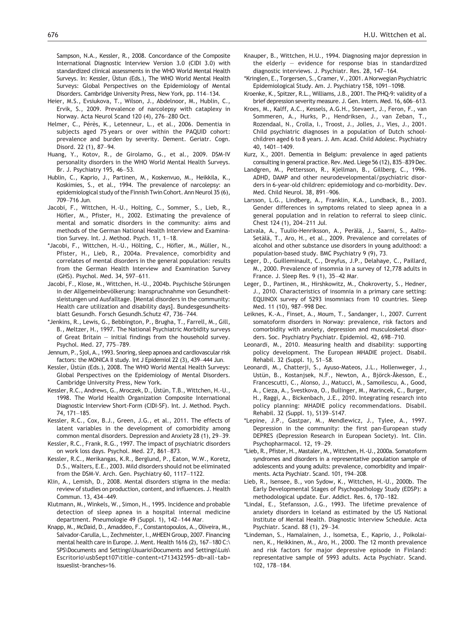- Heier, M.S., Evsiukova, T., Wilson, J., Abdelnoor, M., Hublin, C., Ervik, S., 2009. Prevalence of narcolepsy with cataplexy in Norway. Acta Neurol Scand 120 (4), 276–280 Oct.
- Helmer, C., Pérès, K., Letenneur, L., et al., 2006. Dementia in subjects aged 75 years or over within the PAQUID cohort: prevalence and burden by severity. Dement. Geriatr. Cogn. Disord. 22 (1), 87–94.
- Huang, Y., Kotov, R., de Girolamo, G., et al., 2009. DSM-IV personality disorders in the WHO World Mental Health Surveys. Br. J. Psychiatry 195, 46–53.
- Hublin, C., Kaprio, J., Partinen, M., Koskenvuo, M., Heikkila, K., Koskimies, S., et al., 1994. The prevalence of narcolepsy: an epidemiological study of the Finnish Twin Cohort. Ann Neurol 35 (6), 709–716 Jun.
- Jacobi, F., Wittchen, H.-U., Holting, C., Sommer, S., Lieb, R., Höfler, M., Pfister, H., 2002. Estimating the prevalence of mental and somatic disorders in the community: aims and methods of the German National Health Interview and Examination Survey. Int. J. Method. Psych. 11, 1–18.
- \*Jacobi, F., Wittchen, H.-U., Hölting, C., Höfler, M., Müller, N., Pfister, H., Lieb, R., 2004a. Prevalence, comorbidity and correlates of mental disorders in the general population: results from the German Health Interview and Examination Survey (GHS). Psychol. Med. 34, 597–611.
- Jacobi, F., Klose, M., Wittchen, H.-U., 2004b. Psychische Störungen in der Allgemeinbevölkerung: Inanspruchnahme von Gesundheitsleistungen und Ausfalltage. [Mental disorders in the community: Health care utilization and disability days]. Bundesgesundheitsblatt Gesundh. Forsch Gesundh.Schutz 47, 736–744.
- \*Jenkins, R., Lewis, G., Bebbington, P., Brugha, T., Farrell, M., Gill, B., Meltzer, H., 1997. The National Psychiatric Morbidity surveys of Great Britain — initial findings from the household survey. Psychol. Med. 27, 775–789.
- Jennum, P., Sjol, A., 1993. Snoring, sleep apnoea and cardiovascular risk factors: the MONICA II study. Int J Epidemiol 22 (3), 439–444 Jun.
- Kessler, Üstün (Eds.), 2008. The WHO World Mental Health Surveys: Global Perspectives on the Epidemiology of Mental Disorders. Cambridge University Press, New York.
- Kessler, R.C., Andrews, G., Mroczek, D., Üstün, T.B., Wittchen, H.-U., 1998. The World Health Organization Composite International Diagnostic Interview Short-Form (CIDI-SF). Int. J. Method. Psych. 74, 171–185.
- Kessler, R.C., Cox, B.J., Green, J.G., et al., 2011. The effects of latent variables in the development of comorbidity among common mental disorders. Depression and Anxiety 28 (1), 29–39.
- Kessler, R.C., Frank, R.G., 1997. The impact of psychiatric disorders on work loss days. Psychol. Med. 27, 861–873.
- Kessler, R.C., Merikangas, K.R., Berglund, P., Eaton, W.W., Koretz, D.S., Walters, E.E., 2003. Mild disorders should not be eliminated from the DSM-V. Arch. Gen. Psychiatry 60, 1117–1122.
- Klin, A., Lemish, D., 2008. Mental disorders stigma in the media: review of studies on production, content, and influences. J. Health Commun. 13, 434–449.
- Klutmann, M., Winkels, W., Simon, H., 1995. Incidence and probable detection of sleep apnea in a hospital internal medicine department. Pneumologie 49 (Suppl. 1), 142–144 Mar.
- Knapp, M., McDaid, D., Amaddeo, F., Constantopoulos, A., Oliveira, M., Salvador-Carulla, L., Zechmeister, I., MHEEN Group, 2007. Financing mental health care in Europe. J. Ment. Health 1616 (2), 167–180 C:\ SPS\Documents and Settings\Usuario\Documents and Settings\Luis\ Escritorio\usbSept107\title~content=t713432595~db=all~tab= issueslist~branches=16.
- Knauper, B., Wittchen, H.U., 1994. Diagnosing major depression in the elderly — evidence for response bias in standardized diagnostic interviews. J. Psychiatr. Res. 28, 147–164.
- \*Kringlen, E., Torgersen, S., Cramer, V., 2001. A Norwegian Psychiatric Epidemiological Study. Am. J. Psychiatry 158, 1091–1098.
- Kroenke, K., Spitzer, R.L., Williams, J.B., 2001. The PHQ-9: validity of a brief depression severity measure. J. Gen. Intern. Med. 16, 606–613.
- Kroes, M., Kalff, A.C., Kessels, A.G.H., Stevaert, J., Feron, F., van Sommeren, A., Hurks, P., Hendriksen, J., van Zeban, T., Rozendaal, N., Crolla, I., Troost, J., Jolles, J., Vles, J., 2001. Child psychiatric diagnoses in a population of Dutch schoolchildren aged 6 to 8 years. J. Am. Acad. Child Adolesc. Psychiatry 40, 1401–1409.
- Kurz, X., 2001. Dementia in Belgium: prevalence in aged patients consulting in general practice. Rev. Med. Liege 56 (12), 835–839 Dec.
- Landgren, M., Pettersson, R., Kjellman, B., Gillberg, C., 1996. ADHD, DAMP and other neurodevelopmental/psychiatric disorders in 6-year-old children: epidemiology and co-morbidity. Dev. Med. Child Neurol. 38, 891–906.
- Larsson, L.G., Lindberg, A., Franklin, K.A., Lundback, B., 2003. Gender differences in symptoms related to sleep apnea in a general population and in relation to referral to sleep clinic. Chest 124 (1), 204–211 Jul.
- Latvala, A., Tuulio-Henriksson, A., Perälä, J., Saarni, S., Aalto-Setälä, T., Aro, H., et al., 2009. Prevalence and correlates of alcohol and other substance use disorders in young adulthood: a population-based study. BMC Psychiatry 9 (9), 73.
- Leger, D., Guilleminault, C., Dreyfus, J.P., Delahaye, C., Paillard, M., 2000. Prevalence of insomnia in a survey of 12,778 adults in France. J. Sleep Res. 9 (1), 35–42 Mar.
- Leger, D., Partinen, M., Hirshkowitz, M., Chokroverty, S., Hedner, J., 2010. Characteristics of insomnia in a primary care setting: EQUINOX survey of 5293 insomniacs from 10 countries. Sleep Med. 11 (10), 987–998 Dec.
- Leiknes, K.-A., Finset, A., Moum, T., Sandanger, I., 2007. Current somatoform disorders in Norway: prevalence, risk factors and comorbidity with anxiety, depression and musculosketal disorders. Soc. Psychiatry Psychiatr. Epidemiol. 42, 698–710.
- Leonardi, M., 2010. Measuring health and disability: supporting policy development. The European MHADIE project. Disabil. Rehabil. 32 (Suppl. 1), S1–S8.
- Leonardi, M., Chatterji, S., Ayuso-Mateos, J.L., Hollenweger, J., Ustün, B., Kostanjsek, N.F., Newton, A., Björck-Åkesson, E., Francescutti, C., Alonso, J., Matucci, M., Samoilescu, A., Good, A., Cieza, A., Svestkova, O., Bullinger, M., Marincek, C., Burger, H., Raggi, A., Bickenbach, J.E., 2010. Integrating research into policy planning: MHADIE policy recommendations. Disabil. Rehabil. 32 (Suppl. 1), S139–S147.
- \*Lepine, J.P., Gastpar, M., Mendlewicz, J., Tylee, A., 1997. Depression in the community: the first pan-European study DEPRES (Depression Research in European Society). Int. Clin. Psychopharmacol. 12, 19–29.
- \*Lieb, R., Pfister, H., Mastaler, M., Wittchen, H.-U., 2000a. Somatoform syndromes and disorders in a representative population sample of adolescents and young adults: prevalence, comorbidity and impairments. Acta Psychiatr. Scand. 101, 194–208.
- Lieb, R., Isensee, B., von Sydow, K., Wittchen, H.-U., 2000b. The Early Developmental Stages of Psychopathology Study (EDSP): a methodological update. Eur. Addict. Res. 6, 170–182.
- \*Lindal, E., Stefansson, J.G., 1993. The lifetime prevalence of anxiety disorders in Iceland as estimated by the US National Institute of Mental Health. Diagnostic Interview Schedule. Acta Psychiatr. Scand. 88 (1), 29–34.
- \*Lindeman, S., Hamalainen, J., Isometsa, E., Kaprio, J., Poikolainen, K., Heikkinen, M., Aro, H., 2000. The 12 month prevalence and risk factors for major depressive episode in Finland: representative sample of 5993 adults. Acta Psychiatr. Scand. 102, 178–184.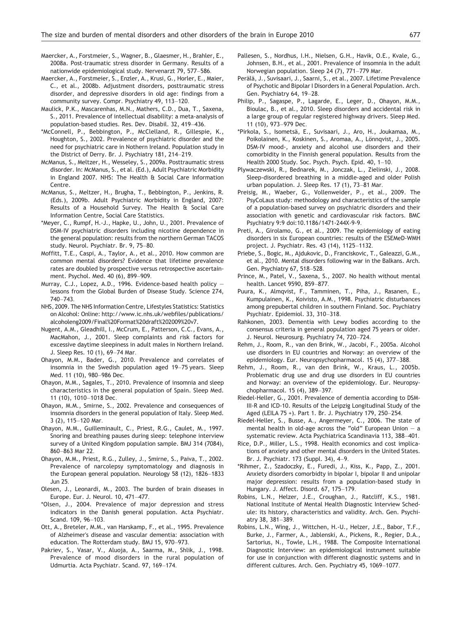- Maercker, A., Forstmeier, S., Wagner, B., Glaesmer, H., Brahler, E., 2008a. Post-traumatic stress disorder in Germany. Results of a nationwide epidemiological study. Nervenarzt 79, 577–586.
- Maercker, A., Forstmeier, S., Enzler, A., Krusi, G., Horler, E., Maier, C., et al., 2008b. Adjustment disorders, posttraumatic stress disorder, and depressive disorders in old age: findings from a community survey. Compr. Psychiatry 49, 113–120.
- Maulick, P.K., Mascarenhas, M.N., Mathers, C.D., Dua, T., Saxena, S., 2011. Prevalence of intellectual disability: a meta-analysis of population-based studies. Res. Dev. Disabil. 32, 419–436.
- \*McConnell, P., Bebbington, P., McClelland, R., Gillespie, K., Houghton, S., 2002. Prevalence of psychiatric disorder and the need for psychiatric care in Nothern Ireland. Population study in the District of Derry. Br. J. Psychiatry 181, 214–219.
- McManus, S., Meltzer, H., Wesseley, S., 2009a. Posttraumatic stress disorder. In: McManus, S., et al. (Ed.), Adult Psychiatric Morbidity in England 2007. NHS: The Health & Social Care Information Centre.
- McManus, S., Meltzer, H., Brugha, T., Bebbington, P., Jenkins, R. (Eds.), 2009b. Adult Psychiatric Morbidity in England, 2007: Results of a Household Survey. The Health & Social Care Information Centre, Social Care Statistics.
- \*Meyer, C., Rumpf, H.-J., Hapke, U., John, U., 2001. Prevalence of DSM-IV psychiatric disorders including nicotine dependence in the general population: results from the northern German TACOS study. Neurol. Psychiatr. Br. 9, 75–80.
- Moffitt, T.E., Caspi, A., Taylor, A., et al., 2010. How common are common mental disorders? Evidence that lifetime prevalence rates are doubled by prospective versus retrospective ascertainment. Psychol. Med. 40 (6), 899–909.
- Murray, C.J., Lopez, A.D., 1996. Evidence-based health policy lessons from the Global Burden of Disease Study. Science 274, 740–743.
- NHS, 2009. The NHS Information Centre, Lifestyles Statistics: Statistics on Alcohol: Online: http://www.ic.nhs.uk/webfiles/publications/ alcoholeng2009/Final%20Format%20draft%202009%20v7.
- Nugent, A.M., Gleadhill, I., McCrum, E., Patterson, C.C., Evans, A., MacMahon, J., 2001. Sleep complaints and risk factors for excessive daytime sleepiness in adult males in Northern Ireland. J. Sleep Res. 10 (1), 69–74 Mar.
- Ohayon, M.M., Bader, G., 2010. Prevalence and correlates of insomnia in the Swedish population aged 19–75 years. Sleep Med. 11 (10), 980–986 Dec.
- Ohayon, M.M., Sagales, T., 2010. Prevalence of insomnia and sleep characteristics in the general population of Spain. Sleep Med. 11 (10), 1010–1018 Dec.
- Ohayon, M.M., Smirne, S., 2002. Prevalence and consequences of insomnia disorders in the general population of Italy. Sleep Med. 3 (2), 115–120 Mar.
- Ohayon, M.M., Guilleminault, C., Priest, R.G., Caulet, M., 1997. Snoring and breathing pauses during sleep: telephone interview survey of a United Kingdom population sample. BMJ 314 (7084), 860–863 Mar 22.
- Ohayon, M.M., Priest, R.G., Zulley, J., Smirne, S., Paiva, T., 2002. Prevalence of narcolepsy symptomatology and diagnosis in the European general population. Neurology 58 (12), 1826–1833 Jun 25.
- Olesen, J., Leonardi, M., 2003. The burden of brain diseases in Europe. Eur. J. Neurol. 10, 471–477.
- \*Olsen, J., 2004. Prevalence of major depression and stress indicators in the Danish general population. Acta Psychiatr. Scand. 109, 96–103.
- Ott, A., Breteler, M.M., van Harskamp, F., et al., 1995. Prevalence of Alzheimer's disease and vascular dementia: association with education. The Rotterdam study. BMJ 15, 970–973.
- Pakriev, S., Vasar, V., Aluoja, A., Saarma, M., Shlik, J., 1998. Prevalence of mood disorders in the rural population of Udmurtia. Acta Psychiatr. Scand. 97, 169–174.
- Pallesen, S., Nordhus, I.H., Nielsen, G.H., Havik, O.E., Kvale, G., Johnsen, B.H., et al., 2001. Prevalence of insomnia in the adult Norwegian population. Sleep 24 (7), 771–779 Mar.
- Perälä, J., Suvisaari, J., Saarni, S., et al., 2007. Lifetime Prevalence of Psychotic and Bipolar I Disorders in a General Population. Arch. Gen. Psychiatry 64, 19–28.
- Philip, P., Sagaspe, P., Lagarde, E., Leger, D., Ohayon, M.M., Bioulac, B., et al., 2010. Sleep disorders and accidental risk in a large group of regular registered highway drivers. Sleep Med. 11 (10), 973–979 Dec.
- \*Pirkola, S., Isometsä, E., Suvisaari, J., Aro, H., Joukamaa, M., Poikolainen, K., Koskinen, S., Aromaa, A., Lönnqvist, J., 2005. DSM-IV mood-, anxiety and alcohol use disorders and their comorbidity in the Finnish general population. Results from the Health 2000 Study. Soc. Psych. Psych. Epid. 40, 1–10.
- Plywaczewski, R., Bednarek, M., Jonczak, L., Zielinski, J., 2008. Sleep-disordered breathing in a middle-aged and older Polish urban population. J. Sleep Res. 17 (1), 73–81 Mar.
- Preisig, M., Waeber, G., Vollenweider, P., et al., 2009. The PsyCoLaus study: methodology and characteristics of the sample of a population-based survey on psychiatric disorders and their association with genetic and cardiovascular risk factors. BMC Psychiatry 9:9 doi:10.1186/1471-244X-9-9.
- Preti, A., Girolamo, G., et al., 2009. The epidemiology of eating disorders in six European countries: results of the ESEMeD-WMH project. J. Psychiatr. Res. 43 (14), 1125–1132.
- Priebe, S., Bogic, M., Ajdukovic, D., Franciskovic, T., Galeazzi, G.M., et al., 2010. Mental disorders following war in the Balkans. Arch. Gen. Psychiatry 67, 518–528.
- Prince, M., Patel, V., Saxena, S., 2007. No health without mental health. Lancet 9590, 859–877.
- Puura, K., Almqvist, F., Tamminen, T., Piha, J., Rasanen, E., Kumpulainen, K., Koivisto, A.M., 1998. Psychiatric disturbances among prepubertal children in southern Finland. Soc. Psychiatry Psychiatr. Epidemiol. 33, 310–318.
- Rahkonen, 2003. Dementia with Lewy bodies according to the consensus criteria in general population aged 75 years or older. J. Neurol. Neurosurg. Psychiatry 74, 720–724.
- Rehm, J., Room, R., van den Brink, W., Jacobi, F., 2005a. Alcohol use disorders in EU countries and Norway: an overview of the epidemiology. Eur. Neuropsychopharmacol. 15 (4), 377–388.
- Rehm, J., Room, R., van den Brink, W., Kraus, L., 2005b. Problematic drug use and drug use disorders in EU countries and Norway: an overview of the epidemiology. Eur. Neuropsychopharmacol. 15 (4), 389–397.
- Riedel-Heller, G., 2001. Prevalence of dementia according to DSM-III-R and ICD-10. Results of the Leipzig Longitudinal Study of the Aged (LEILA 75 +). Part 1. Br. J. Psychiatry 179, 250–254.
- Riedel-Heller, S., Busse, A., Angermeyer, C., 2006. The state of mental health in old-age across the "old" European Union  $-$  a systematic review. Acta Psychiatrica Scandinavia 113, 388–401.
- Rice, D.P., Miller, L.S., 1998. Health economics and cost implications of anxiety and other mental disorders in the United States. Br. J. Psychiatr. 173 (Suppl. 34), 4–9.
- \*Rihmer, Z., Szadoczky, E., Furedi, J., Kiss, K., Papp, Z., 2001. Anxiety disorders comorbidty in bipolar I, bipolar II and unipolar major depression: results from a population-based study in Hungary. J. Affect. Disord. 67, 175–179.
- Robins, L.N., Helzer, J.E., Croughan, J., Ratcliff, K.S., 1981. National Institute of Mental Health Diagnostic Interview Schedule: its history, characteristics and validity. Arch. Gen. Psychiatry 38, 381–389.
- Robins, L.N., Wing, J., Wittchen, H.-U., Helzer, J.E., Babor, T.F., Burke, J., Farmer, A., Jablenski, A., Pickens, R., Regier, D.A., Sartorius, N., Towle, L.H., 1988. The Composite International Diagnostic Interview: an epidemiological instrument suitable for use in conjunction with different diagnostic systems and in different cultures. Arch. Gen. Psychiatry 45, 1069–1077.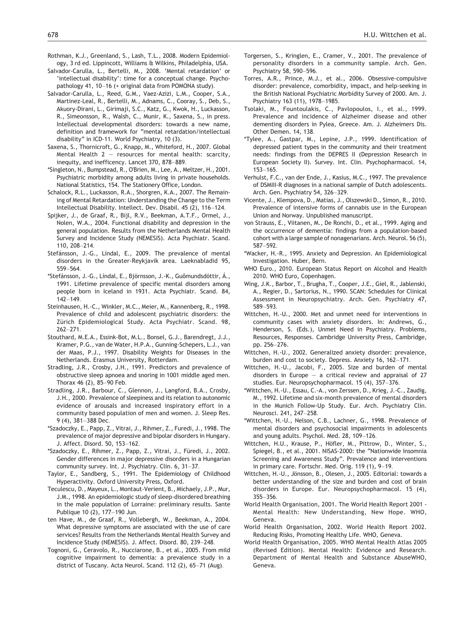- Rothman, K.J., Greenland, S., Lash, T.L., 2008. Modern Epidemiology, 3 rd ed. Lippincott, Williams & Wilkins, Philadelphia, USA.
- Salvador-Carulla, L., Bertelli, M., 2008. 'Mental retardation' or 'intellectual disability': time for a conceptual change. Psychopathology 41, 10–16 (+ original data from POMONA study).
- Salvador-Carulla, L., Reed, G.M., Vaez-Azizi, L.M., Cooper, S.A., Martinez-Leal, R., Bertelli, M., Adnams, C., Cooray, S., Deb, S., Akuory-Dirani, L., Girimaji, S.C., Katz, G., Kwok, H., Luckasson, R., Simeonsson, R., Walsh, C., Munir, K., Saxena, S., in press. Intellectual developmental disorders: towards a new name, definition and framework for "mental retardation/intellectual disability" in ICD-11. World Psychiatry, 10 (3).
- Saxena, S., Thornicroft, G., Knapp, M., Whiteford, H., 2007. Global Mental Health  $2$  – resources for mental health: scarcity, inequity, and inefficency. Lancet 370, 878–889.
- \*Singleton, N., Bumpstead, R., O'Brien, M., Lee, A., Meltzer, H., 2001. Psychiatric morbidity among adults living in private households. National Statistics, 154. The Stationery Office, London.
- Schalock, R.L., Luckasson, R.A., Shorgren, K.A., 2007. The Remaining of Mental Retardation: Understanding the Change to the Term Intellectual Disability. Intellect. Dev. Disabil. 45 (2), 116–124.
- Spijker, J., de Graaf, R., Bijl, R.V., Beekman, A.T.F., Ormel, J., Nolen, W.A., 2004. Functional disability and depression in the general population. Results from the Netherlands Mental Health Survey and Incidence Study (NEMESIS). Acta Psychiatr. Scand. 110, 208–214.
- Stefánsson, J.-G., Líndal, E., 2009. The prevalence of mental disorders in the Greater-Reykjavik area. Laeknabladid 95, 559–564.
- \*Stefánsson, J.-G., Líndal, E., Björnsson, J.-K., Guômundsdóttir, Á., 1991. Lifetime prevalence of specific mental disorders among people born in Iceland in 1931. Acta Psychiatr. Scand. 84, 142–149.
- Steinhausen, H.-C., Winkler, M.C., Meier, M., Kannenberg, R., 1998. Prevalence of child and adolescent psychiatric disorders: the Zürich Epidemiological Study. Acta Psychiatr. Scand. 98, 262–271.
- Stouthard, M.E.A., Essink-Bot, M.L., Bonsel, G.J., Barendregt, J.J., Kramer, P.G., van de Water, H.P.A., Gunning-Schepers, L.J., van der Maas, P.J., 1997. Disability Weights for Diseases in the Netherlands. Erasmus University, Rotterdam.
- Stradling, J.R., Crosby, J.H., 1991. Predictors and prevalence of obstructive sleep apnoea and snoring in 1001 middle aged men. Thorax 46 (2), 85–90 Feb.
- Stradling, J.R., Barbour, C., Glennon, J., Langford, B.A., Crosby, J.H., 2000. Prevalence of sleepiness and its relation to autonomic evidence of arousals and increased inspiratory effort in a community based population of men and women. J. Sleep Res. 9 (4), 381–388 Dec.
- \*Szadoczky, E., Papp, Z., Vitrai, J., Rihmer, Z., Furedi, J., 1998. The prevalence of major depressive and bipolar disorders in Hungary. J. Affect. Disord. 50, 153–162.
- \*Szadoczky, E., Rihmer, Z., Papp, Z., Vitrai, J., Füredi, J., 2002. Gender differences in major depressive disorders in a Hungarian community survey. Int. J. Psychiatry. Clin. 6, 31–37.
- Taylor, E., Sandberg, S., 1991. The Epidemiology of Childhood Hyperactivity. Oxford University Press, Oxford.
- Teculescu, D., Mayeux, L., Montaut-Verient, B., Michaely, J.P., Mur, J.M., 1998. An epidemiologic study of sleep-disordered breathing in the male population of Lorraine: preliminary results. Sante Publique 10 (2), 177–190 Jun.
- ten Have, M., de Graaf, R., Vollebergh, W., Beekman, A., 2004. What depressive symptoms are associated with the use of care services? Results from the Netherlands Mental Health Survey and Incidence Study (NEMESIS). J. Affect. Disord. 80, 239–248.
- Tognoni, G., Ceravolo, R., Nucciarone, B., et al., 2005. From mild cognitive impairment to dementia: a prevalence study in a district of Tuscany. Acta Neurol. Scand. 112 (2), 65–71 (Aug).
- Torgersen, S., Kringlen, E., Cramer, V., 2001. The prevalence of personality disorders in a community sample. Arch. Gen. Psychiatry 58, 590–596.
- Torres, A.R., Prince, M.J., et al., 2006. Obsessive-compulsive disorder: prevalence, comorbidity, impact, and help-seeking in the British National Psychiatric Morbidity Survey of 2000. Am. J. Psychiatry 163 (11), 1978–1985.
- Tsolaki, M., Fountoulakis, C., Pavlopoulos, I., et al., 1999. Prevalence and incidence of Alzheimer disease and other dementing disorders in Pylea, Greece. Am. J. Alzheimers Dis. Other Demen. 14, 138.
- \*Tylee, A., Gastpar, M., Lepine, J.P., 1999. Identification of depressed patient types in the community and their treatment needs: findings from the DEPRES II (Depression Research in European Society II). Survey. Int. Clin. Psychopharmacol. 14, 153–165.
- Verhulst, F.C., van der Ende, J., Kasius, M.C., 1997. The prevalence of DSMIII-R diagnoses in a national sample of Dutch adolescents. Arch. Gen. Psychiatry 54, 326–329.
- Vicente, J., Klempova, D., Matias, J., Olszewski D., Simon, R., 2010. Prevalence of intensive forms of cannabis use in the European Union and Norway. Unpublished manuscript.
- von Strauss, E., Viitanen, M., De Ronchi, D., et al., 1999. Aging and the occurrence of dementia: findings from a population-based cohort with a large sample of nonagenarians. Arch. Neurol. 56 (5), 587–592.
- \*Wacker, H.-R., 1995. Anxiety and Depression. An Epidemiological Investigation. Huber, Bern.
- WHO Euro., 2010. European Status Report on Alcohol and Health 2010. WHO Euro, Copenhagen.
- Wing, J.K., Barbor, T., Brugha, T., Cooper, J.E., Giel, R., Jablenski, A., Regier, D., Sartorius, N., 1990. SCAN: Schedules for Clinical Assessment in Neuropsychiatry. Arch. Gen. Psychiatry 47, 589–593.
- Wittchen, H.-U., 2000. Met and unmet need for interventions in community cases with anxiety disorders. In: Andrews, G., Henderson, S. (Eds.), Unmet Need in Psychiatry. Problems, Resources, Responses. Cambridge University Press, Cambridge, pp. 256–276.
- Wittchen, H.-U., 2002. Generalized anxiety disorder: prevalence, burden and cost to society. Depress. Anxiety 16, 162–171.
- Wittchen, H.-U., Jacobi, F., 2005. Size and burden of mental disorders in Europe  $-$  a critical review and appraisal of 27 studies. Eur. Neuropsychopharmacol. 15 (4), 357–376.
- \*Wittchen, H.-U., Essau, C.-A., von Zerssen, D., Krieg, J.-C., Zaudig, M., 1992. Lifetime and six-month prevalence of mental disorders in the Munich Follow-Up Study. Eur. Arch. Psychiatry Clin. Neurosci. 241, 247–258.
- \*Wittchen, H.-U., Nelson, C.B., Lachner, G., 1998. Prevalence of mental disorders and psychosocial impairments in adolescents and young adults. Psychol. Med. 28, 109–126.
- Wittchen, H.U., Krause, P., Höfler, M., Pittrow, D., Winter, S., Spiegel, B., et al., 2001. NISAS-2000: the "Nationwide Insomnia Screening and Awareness Study". Prevalence and interventions in primary care. Fortschr. Med. Orig. 119 (1), 9–19.
- Wittchen, H.-U., Jönsson, B., Olesen, J., 2005. Editorial: towards a better understanding of the size and burden and cost of brain disorders in Europe. Eur. Neuropsychopharmacol. 15 (4), 355–356.
- World Health Organisation, 2001. The World Health Report 2001 Mental Health: New Understanding, New Hope. WHO, Geneva.
- World Health Organisation, 2002. World Health Report 2002. Reducing Risks, Promoting Healthy Life. WHO, Geneva.
- World Health Organisation, 2005. WHO Mental Health Atlas 2005 (Revised Edition). Mental Health: Evidence and Research. Department of Mental Health and Substance AbuseWHO, Geneva.